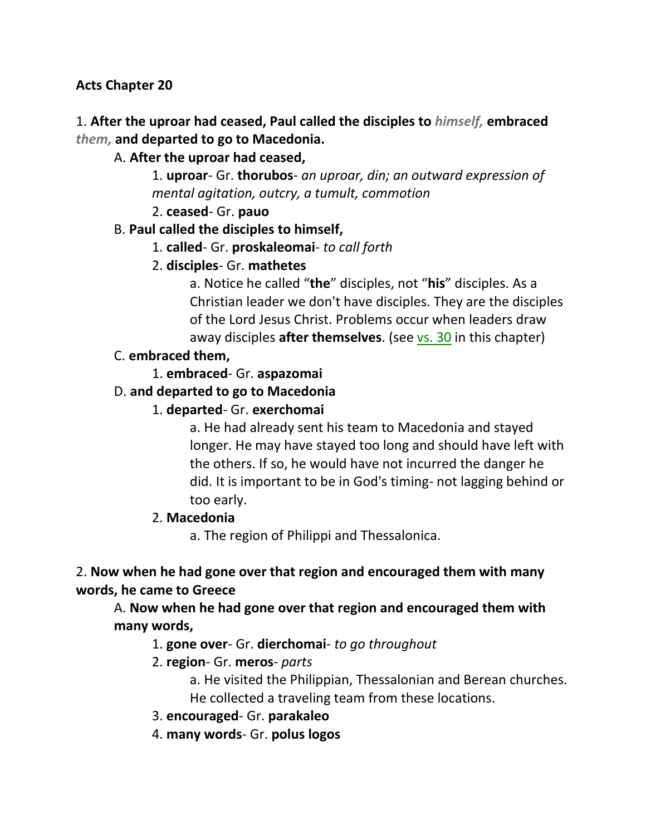### **Acts Chapter 20**

### 1. **After the uproar had ceased, Paul called the disciples to** *himself,* **embraced**  *them,* **and departed to go to Macedonia.**

### A. **After the uproar had ceased,**

1. **uproar**- Gr. **thorubos**- *an uproar, din; an outward expression of mental agitation, outcry, a tumult, commotion*

2. **ceased**- Gr. **pauo**

### B. **Paul called the disciples to himself,**

- 1. **called** Gr. **proskaleomai** *to call forth*
- 2. **disciples** Gr. **mathetes**

a. Notice he called "**the**" disciples, not "**his**" disciples. As a Christian leader we don't have disciples. They are the disciples of the Lord Jesus Christ. Problems occur when leaders draw away disciples **after themselves**. (see vs. 30 in this chapter)

### C. **embraced them,**

1. **embraced**- Gr. **aspazomai**

### D. **and departed to go to Macedonia**

### 1. **departed**- Gr. **exerchomai**

a. He had already sent his team to Macedonia and stayed longer. He may have stayed too long and should have left with the others. If so, he would have not incurred the danger he did. It is important to be in God's timing- not lagging behind or too early.

#### 2. **Macedonia**

a. The region of Philippi and Thessalonica.

### 2. **Now when he had gone over that region and encouraged them with many words, he came to Greece**

A. **Now when he had gone over that region and encouraged them with many words,**

#### 1. **gone over**- Gr. **dierchomai**- *to go throughout*

- 2. **region** Gr. **meros** *parts*
	- a. He visited the Philippian, Thessalonian and Berean churches. He collected a traveling team from these locations.
- 3. **encouraged** Gr. **parakaleo**
- 4. **many words** Gr. **polus logos**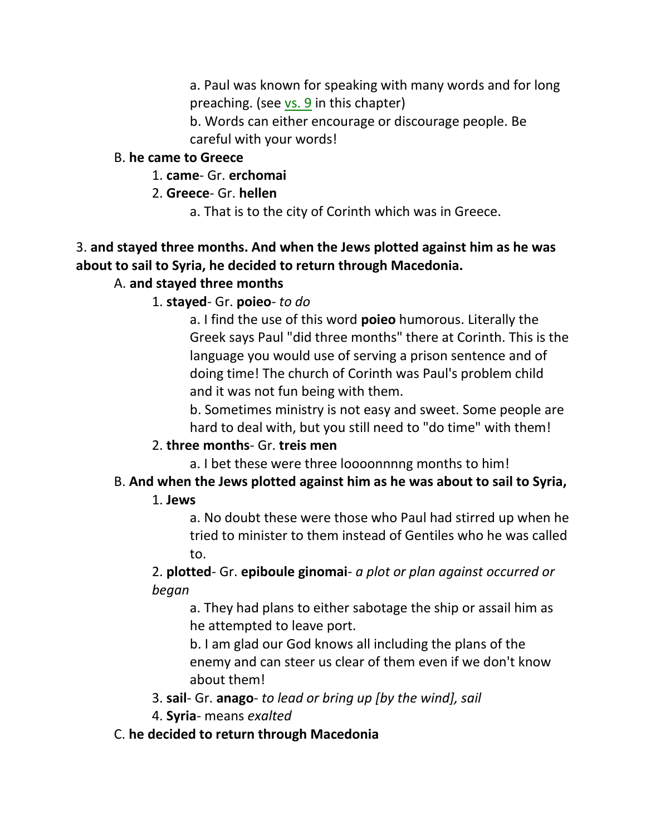a. Paul was known for speaking with many words and for long preaching. (see  $\overline{vs. 9}$  in this chapter)

b. Words can either encourage or discourage people. Be careful with your words!

### B. **he came to Greece**

1. **came**- Gr. **erchomai**

- 2. **Greece** Gr. **hellen**
	- a. That is to the city of Corinth which was in Greece.

# 3. **and stayed three months. And when the Jews plotted against him as he was about to sail to Syria, he decided to return through Macedonia.**

# A. **and stayed three months**

1. **stayed**- Gr. **poieo**- *to do*

a. I find the use of this word **poieo** humorous. Literally the Greek says Paul "did three months" there at Corinth. This is the language you would use of serving a prison sentence and of doing time! The church of Corinth was Paul's problem child and it was not fun being with them.

b. Sometimes ministry is not easy and sweet. Some people are hard to deal with, but you still need to "do time" with them!

# 2. **three months**- Gr. **treis men**

a. I bet these were three loooonnnng months to him!

# B. **And when the Jews plotted against him as he was about to sail to Syria,**

# 1. **Jews**

a. No doubt these were those who Paul had stirred up when he tried to minister to them instead of Gentiles who he was called to.

2. **plotted**- Gr. **epiboule ginomai**- *a plot or plan against occurred or began*

a. They had plans to either sabotage the ship or assail him as he attempted to leave port.

b. I am glad our God knows all including the plans of the enemy and can steer us clear of them even if we don't know about them!

3. **sail**- Gr. **anago**- *to lead or bring up [by the wind], sail*

4. **Syria**- means *exalted*

# C. **he decided to return through Macedonia**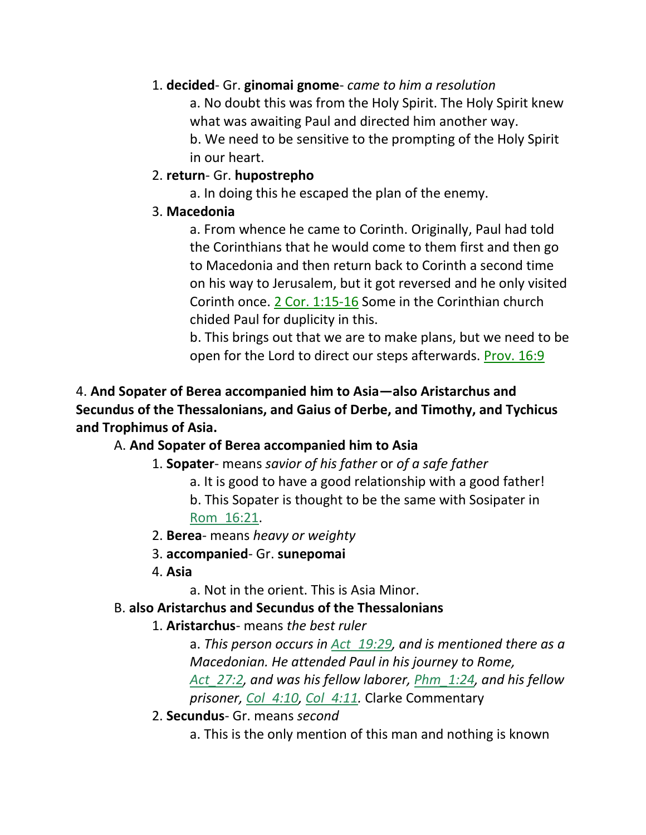### 1. **decided**- Gr. **ginomai gnome**- *came to him a resolution*

a. No doubt this was from the Holy Spirit. The Holy Spirit knew what was awaiting Paul and directed him another way.

b. We need to be sensitive to the prompting of the Holy Spirit in our heart.

### 2. **return**- Gr. **hupostrepho**

a. In doing this he escaped the plan of the enemy.

### 3. **Macedonia**

a. From whence he came to Corinth. Originally, Paul had told the Corinthians that he would come to them first and then go to Macedonia and then return back to Corinth a second time on his way to Jerusalem, but it got reversed and he only visited Corinth once. 2 Cor. 1:15-16 Some in the Corinthian church chided Paul for duplicity in this.

b. This brings out that we are to make plans, but we need to be open for the Lord to direct our steps afterwards. Prov. 16:9

# 4. **And Sopater of Berea accompanied him to Asia—also Aristarchus and Secundus of the Thessalonians, and Gaius of Derbe, and Timothy, and Tychicus and Trophimus of Asia.**

# A. **And Sopater of Berea accompanied him to Asia**

- 1. **Sopater** means *savior of his father* or *of a safe father*
	- a. It is good to have a good relationship with a good father!
	- b. This Sopater is thought to be the same with Sosipater in Rom\_16:21.
- 2. **Berea** means *heavy or weighty*
- 3. **accompanied** Gr. **sunepomai**
- 4. **Asia**

a. Not in the orient. This is Asia Minor.

### B. **also Aristarchus and Secundus of the Thessalonians**

1. **Aristarchus**- means *the best ruler*

a. *This person occurs in Act\_19:29, and is mentioned there as a Macedonian. He attended Paul in his journey to Rome, Act\_27:2, and was his fellow laborer, Phm\_1:24, and his fellow prisoner, Col\_4:10, Col\_4:11.* Clarke Commentary

- 2. **Secundus** Gr. means *second*
	- a. This is the only mention of this man and nothing is known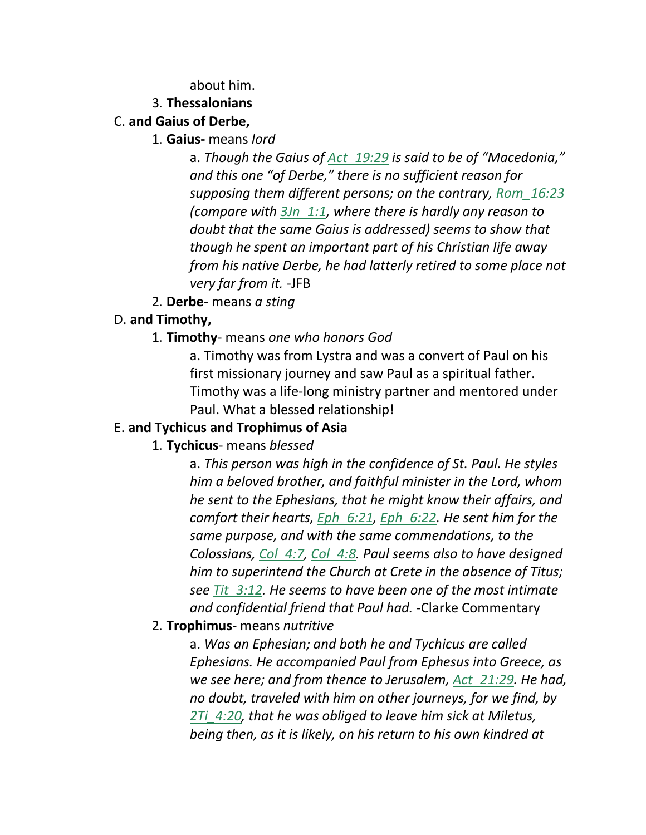about him.

#### 3. **Thessalonians**

### C. **and Gaius of Derbe,**

#### 1. **Gaius-** means *lord*

a. *Though the Gaius of Act\_19:29 is said to be of "Macedonia," and this one "of Derbe," there is no sufficient reason for supposing them different persons; on the contrary, Rom\_16:23 (compare with 3Jn\_1:1, where there is hardly any reason to doubt that the same Gaius is addressed) seems to show that though he spent an important part of his Christian life away from his native Derbe, he had latterly retired to some place not very far from it.* -JFB

2. **Derbe**- means *a sting*

### D. **and Timothy,**

### 1. **Timothy**- means *one who honors God*

a. Timothy was from Lystra and was a convert of Paul on his first missionary journey and saw Paul as a spiritual father. Timothy was a life-long ministry partner and mentored under Paul. What a blessed relationship!

#### E. **and Tychicus and Trophimus of Asia**

### 1. **Tychicus**- means *blessed*

a. *This person was high in the confidence of St. Paul. He styles him a beloved brother, and faithful minister in the Lord, whom he sent to the Ephesians, that he might know their affairs, and comfort their hearts, Eph\_6:21, Eph\_6:22. He sent him for the same purpose, and with the same commendations, to the Colossians, Col\_4:7, Col\_4:8. Paul seems also to have designed him to superintend the Church at Crete in the absence of Titus; see Tit\_3:12. He seems to have been one of the most intimate and confidential friend that Paul had.* -Clarke Commentary

#### 2. **Trophimus**- means *nutritive*

a. *Was an Ephesian; and both he and Tychicus are called Ephesians. He accompanied Paul from Ephesus into Greece, as we see here; and from thence to Jerusalem, Act\_21:29. He had, no doubt, traveled with him on other journeys, for we find, by 2Ti\_4:20, that he was obliged to leave him sick at Miletus, being then, as it is likely, on his return to his own kindred at*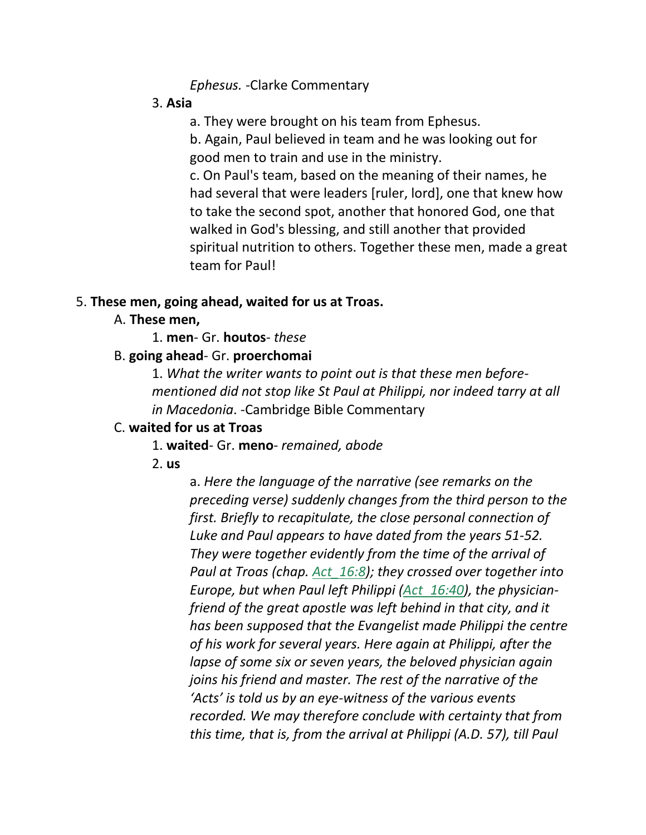#### *Ephesus.* -Clarke Commentary

#### 3. **Asia**

a. They were brought on his team from Ephesus.

b. Again, Paul believed in team and he was looking out for good men to train and use in the ministry.

c. On Paul's team, based on the meaning of their names, he had several that were leaders [ruler, lord], one that knew how to take the second spot, another that honored God, one that walked in God's blessing, and still another that provided spiritual nutrition to others. Together these men, made a great team for Paul!

#### 5. **These men, going ahead, waited for us at Troas.**

### A. **These men,**

1. **men**- Gr. **houtos**- *these*

### B. **going ahead**- Gr. **proerchomai**

1. *What the writer wants to point out is that these men beforementioned did not stop like St Paul at Philippi, nor indeed tarry at all in Macedonia*. -Cambridge Bible Commentary

### C. **waited for us at Troas**

### 1. **waited**- Gr. **meno**- *remained, abode*

2. **us**

a. *Here the language of the narrative (see remarks on the preceding verse) suddenly changes from the third person to the first. Briefly to recapitulate, the close personal connection of Luke and Paul appears to have dated from the years 51-52. They were together evidently from the time of the arrival of Paul at Troas (chap. Act\_16:8); they crossed over together into Europe, but when Paul left Philippi (Act\_16:40), the physicianfriend of the great apostle was left behind in that city, and it has been supposed that the Evangelist made Philippi the centre of his work for several years. Here again at Philippi, after the lapse of some six or seven years, the beloved physician again joins his friend and master. The rest of the narrative of the 'Acts' is told us by an eye-witness of the various events recorded. We may therefore conclude with certainty that from this time, that is, from the arrival at Philippi (A.D. 57), till Paul*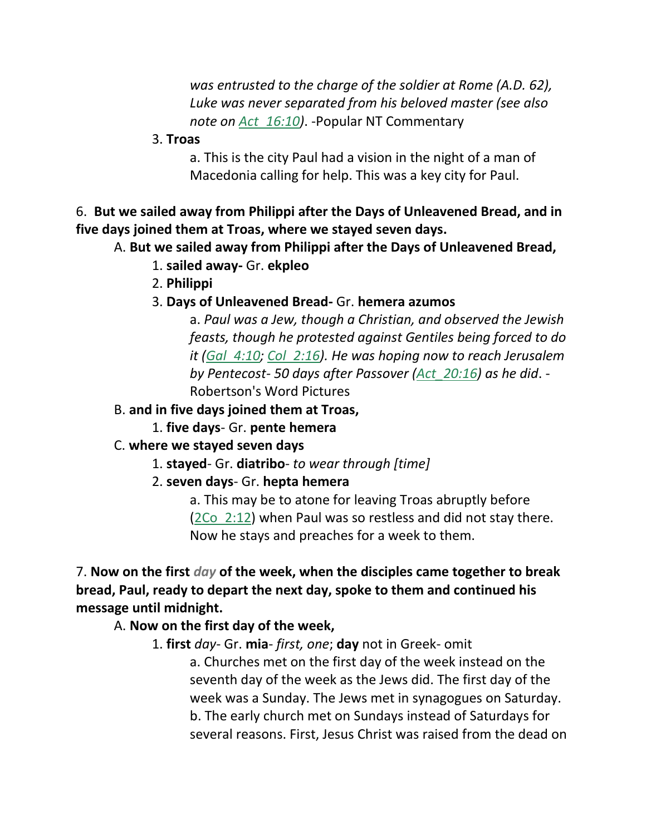*was entrusted to the charge of the soldier at Rome (A.D. 62), Luke was never separated from his beloved master (see also note on Act\_16:10)*. -Popular NT Commentary

3. **Troas**

a. This is the city Paul had a vision in the night of a man of Macedonia calling for help. This was a key city for Paul.

6. **But we sailed away from Philippi after the Days of Unleavened Bread, and in five days joined them at Troas, where we stayed seven days.**

### A. **But we sailed away from Philippi after the Days of Unleavened Bread,**

- 1. **sailed away-** Gr. **ekpleo**
- 2. **Philippi**
- 3. **Days of Unleavened Bread-** Gr. **hemera azumos**

a. *Paul was a Jew, though a Christian, and observed the Jewish feasts, though he protested against Gentiles being forced to do it (Gal\_4:10; Col\_2:16). He was hoping now to reach Jerusalem by Pentecost- 50 days after Passover (Act\_20:16) as he did*. - Robertson's Word Pictures

#### B. **and in five days joined them at Troas,**

1. **five days**- Gr. **pente hemera**

#### C. **where we stayed seven days**

- 1. **stayed** Gr. **diatribo** *to wear through [time]*
- 2. **seven days** Gr. **hepta hemera**

a. This may be to atone for leaving Troas abruptly before (2Co\_2:12) when Paul was so restless and did not stay there. Now he stays and preaches for a week to them.

7. **Now on the first** *day* **of the week, when the disciples came together to break bread, Paul, ready to depart the next day, spoke to them and continued his message until midnight.**

#### A. **Now on the first day of the week,**

1. **first** *day*- Gr. **mia**- *first, one*; **day** not in Greek- omit a. Churches met on the first day of the week instead on the seventh day of the week as the Jews did. The first day of the week was a Sunday. The Jews met in synagogues on Saturday. b. The early church met on Sundays instead of Saturdays for several reasons. First, Jesus Christ was raised from the dead on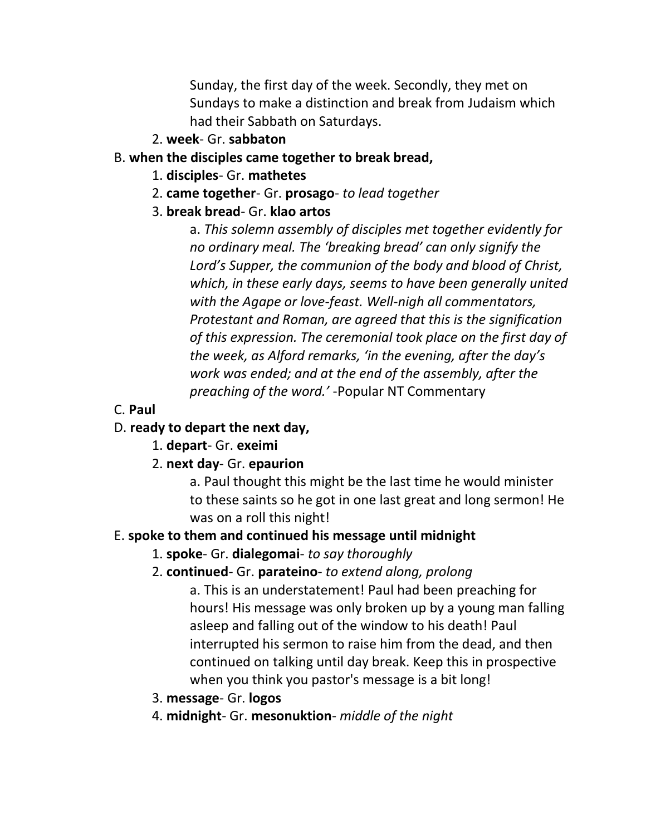Sunday, the first day of the week. Secondly, they met on Sundays to make a distinction and break from Judaism which had their Sabbath on Saturdays.

2. **week**- Gr. **sabbaton**

### B. **when the disciples came together to break bread,**

- 1. **disciples** Gr. **mathetes**
- 2. **came together** Gr. **prosago** *to lead together*
- 3. **break bread** Gr. **klao artos**

a. *This solemn assembly of disciples met together evidently for no ordinary meal. The 'breaking bread' can only signify the Lord's Supper, the communion of the body and blood of Christ, which, in these early days, seems to have been generally united with the Agape or love-feast. Well-nigh all commentators, Protestant and Roman, are agreed that this is the signification of this expression. The ceremonial took place on the first day of the week, as Alford remarks, 'in the evening, after the day's work was ended; and at the end of the assembly, after the preaching of the word.'* -Popular NT Commentary

C. **Paul**

# D. **ready to depart the next day,**

- 1. **depart** Gr. **exeimi**
- 2. **next day** Gr. **epaurion**

a. Paul thought this might be the last time he would minister to these saints so he got in one last great and long sermon! He was on a roll this night!

### E. **spoke to them and continued his message until midnight**

- 1. **spoke** Gr. **dialegomai** *to say thoroughly*
- 2. **continued** Gr. **parateino** *to extend along, prolong*

a. This is an understatement! Paul had been preaching for hours! His message was only broken up by a young man falling asleep and falling out of the window to his death! Paul interrupted his sermon to raise him from the dead, and then continued on talking until day break. Keep this in prospective when you think you pastor's message is a bit long!

- 3. **message** Gr. **logos**
- 4. **midnight** Gr. **mesonuktion** *middle of the night*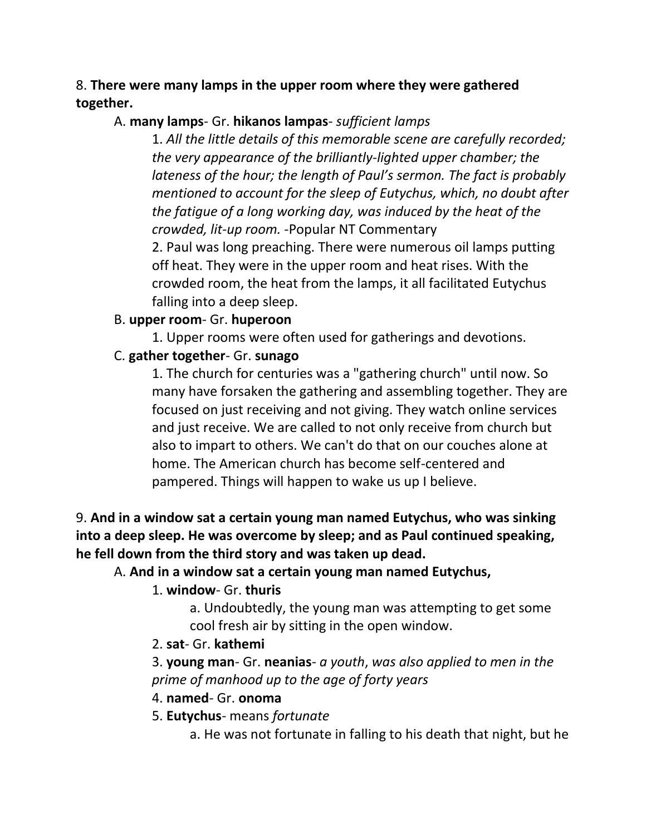### 8. **There were many lamps in the upper room where they were gathered together.**

### A. **many lamps**- Gr. **hikanos lampas**- *sufficient lamps*

1. *All the little details of this memorable scene are carefully recorded; the very appearance of the brilliantly-lighted upper chamber; the lateness of the hour; the length of Paul's sermon. The fact is probably mentioned to account for the sleep of Eutychus, which, no doubt after the fatigue of a long working day, was induced by the heat of the crowded, lit-up room.* -Popular NT Commentary

2. Paul was long preaching. There were numerous oil lamps putting off heat. They were in the upper room and heat rises. With the crowded room, the heat from the lamps, it all facilitated Eutychus falling into a deep sleep.

### B. **upper room**- Gr. **huperoon**

1. Upper rooms were often used for gatherings and devotions.

### C. **gather together**- Gr. **sunago**

1. The church for centuries was a "gathering church" until now. So many have forsaken the gathering and assembling together. They are focused on just receiving and not giving. They watch online services and just receive. We are called to not only receive from church but also to impart to others. We can't do that on our couches alone at home. The American church has become self-centered and pampered. Things will happen to wake us up I believe.

### 9. **And in a window sat a certain young man named Eutychus, who was sinking into a deep sleep. He was overcome by sleep; and as Paul continued speaking, he fell down from the third story and was taken up dead.**

### A. **And in a window sat a certain young man named Eutychus,**

### 1. **window**- Gr. **thuris**

a. Undoubtedly, the young man was attempting to get some cool fresh air by sitting in the open window.

#### 2. **sat**- Gr. **kathemi**

3. **young man**- Gr. **neanias**- *a youth*, *was also applied to men in the prime of manhood up to the age of forty years*

### 4. **named**- Gr. **onoma**

5. **Eutychus**- means *fortunate*

a. He was not fortunate in falling to his death that night, but he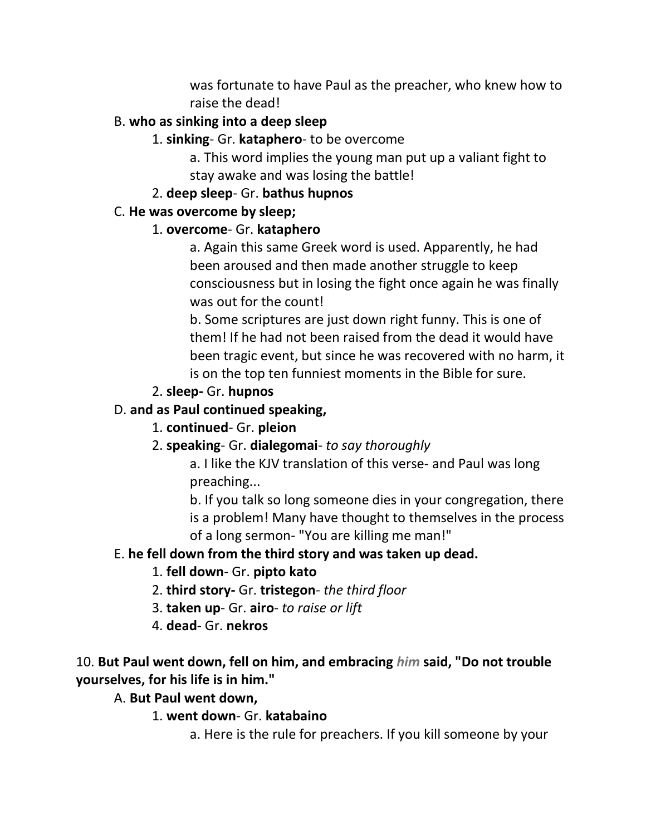was fortunate to have Paul as the preacher, who knew how to raise the dead!

### B. **who as sinking into a deep sleep**

### 1. **sinking**- Gr. **kataphero**- to be overcome

a. This word implies the young man put up a valiant fight to stay awake and was losing the battle!

#### 2. **deep sleep**- Gr. **bathus hupnos**

### C. **He was overcome by sleep;**

### 1. **overcome**- Gr. **kataphero**

a. Again this same Greek word is used. Apparently, he had been aroused and then made another struggle to keep consciousness but in losing the fight once again he was finally was out for the count!

b. Some scriptures are just down right funny. This is one of them! If he had not been raised from the dead it would have been tragic event, but since he was recovered with no harm, it is on the top ten funniest moments in the Bible for sure.

### 2. **sleep-** Gr. **hupnos**

### D. **and as Paul continued speaking,**

### 1. **continued**- Gr. **pleion**

### 2. **speaking**- Gr. **dialegomai**- *to say thoroughly*

a. I like the KJV translation of this verse- and Paul was long preaching...

b. If you talk so long someone dies in your congregation, there is a problem! Many have thought to themselves in the process of a long sermon- "You are killing me man!"

### E. **he fell down from the third story and was taken up dead.**

### 1. **fell down**- Gr. **pipto kato**

- 2. **third story-** Gr. **tristegon** *the third floor*
- 3. **taken up** Gr. **airo** *to raise or lift*
- 4. **dead** Gr. **nekros**

### 10. **But Paul went down, fell on him, and embracing** *him* **said, "Do not trouble yourselves, for his life is in him."**

#### A. **But Paul went down,**

### 1. **went down**- Gr. **katabaino**

a. Here is the rule for preachers. If you kill someone by your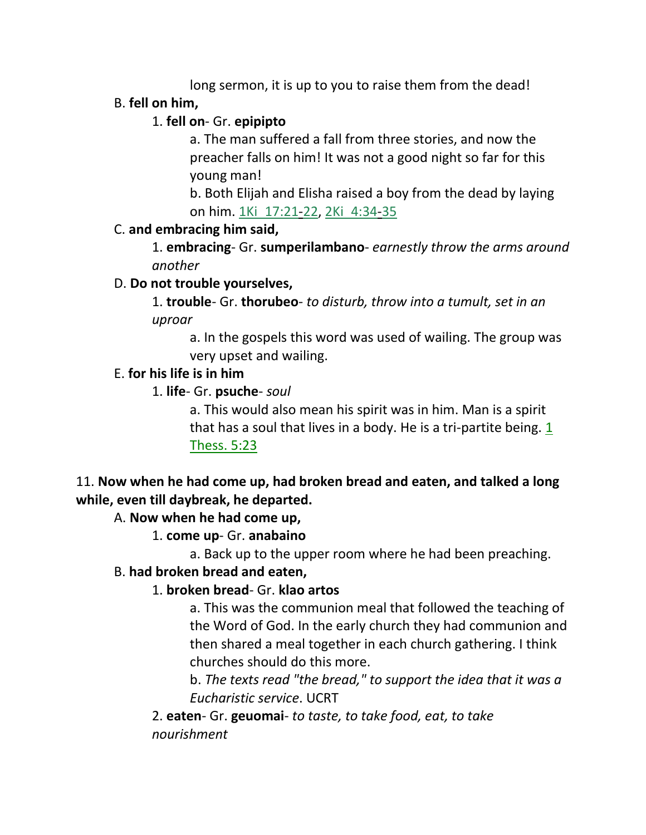long sermon, it is up to you to raise them from the dead!

## B. **fell on him,**

# 1. **fell on**- Gr. **epipipto**

a. The man suffered a fall from three stories, and now the preacher falls on him! It was not a good night so far for this young man!

b. Both Elijah and Elisha raised a boy from the dead by laying on him. 1Ki\_17:21-22, 2Ki\_4:34-35

# C. **and embracing him said,**

1. **embracing**- Gr. **sumperilambano**- *earnestly throw the arms around another*

# D. **Do not trouble yourselves,**

1. **trouble**- Gr. **thorubeo**- *to disturb, throw into a tumult, set in an uproar*

a. In the gospels this word was used of wailing. The group was very upset and wailing.

# E. **for his life is in him**

# 1. **life**- Gr. **psuche**- *soul*

a. This would also mean his spirit was in him. Man is a spirit that has a soul that lives in a body. He is a tri-partite being. 1 Thess. 5:23

# 11. **Now when he had come up, had broken bread and eaten, and talked a long while, even till daybreak, he departed.**

# A. **Now when he had come up,**

# 1. **come up**- Gr. **anabaino**

a. Back up to the upper room where he had been preaching.

### B. **had broken bread and eaten,**

# 1. **broken bread**- Gr. **klao artos**

a. This was the communion meal that followed the teaching of the Word of God. In the early church they had communion and then shared a meal together in each church gathering. I think churches should do this more.

b. *The texts read "the bread," to support the idea that it was a Eucharistic service*. UCRT

2. **eaten**- Gr. **geuomai**- *to taste, to take food, eat, to take nourishment*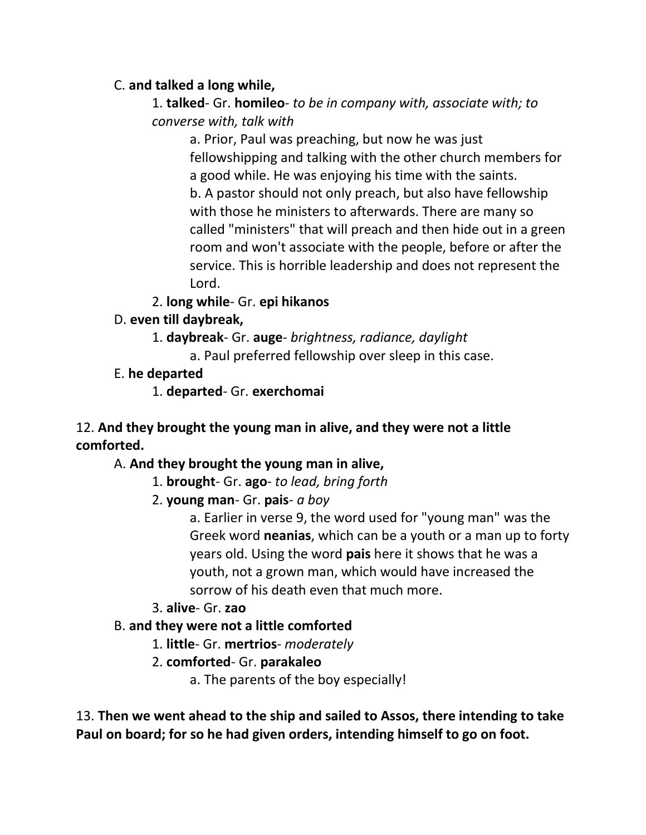### C. **and talked a long while,**

1. **talked**- Gr. **homileo**- *to be in company with, associate with; to converse with, talk with*

> a. Prior, Paul was preaching, but now he was just fellowshipping and talking with the other church members for a good while. He was enjoying his time with the saints. b. A pastor should not only preach, but also have fellowship with those he ministers to afterwards. There are many so called "ministers" that will preach and then hide out in a green room and won't associate with the people, before or after the service. This is horrible leadership and does not represent the Lord.

2. **long while**- Gr. **epi hikanos**

- D. **even till daybreak,**
	- 1. **daybreak** Gr. **auge** *brightness, radiance, daylight*
		- a. Paul preferred fellowship over sleep in this case.
- E. **he departed**

1. **departed**- Gr. **exerchomai**

# 12. **And they brought the young man in alive, and they were not a little comforted.**

A. **And they brought the young man in alive,**

- 1. **brought** Gr. **ago** *to lead, bring forth*
- 2. **young man** Gr. **pais** *a boy*

a. Earlier in verse 9, the word used for "young man" was the Greek word **neanias**, which can be a youth or a man up to forty years old. Using the word **pais** here it shows that he was a youth, not a grown man, which would have increased the sorrow of his death even that much more.

3. **alive**- Gr. **zao**

# B. **and they were not a little comforted**

- 1. **little** Gr. **mertrios** *moderately*
- 2. **comforted** Gr. **parakaleo**
	- a. The parents of the boy especially!

13. **Then we went ahead to the ship and sailed to Assos, there intending to take Paul on board; for so he had given orders, intending himself to go on foot.**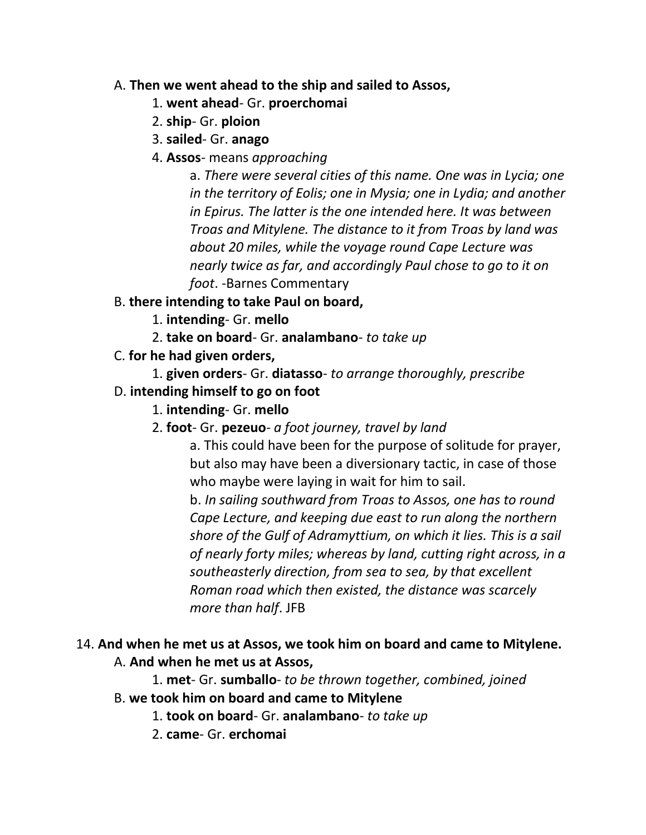### A. **Then we went ahead to the ship and sailed to Assos,**

- 1. **went ahead** Gr. **proerchomai**
- 2. **ship** Gr. **ploion**
- 3. **sailed** Gr. **anago**
- 4. **Assos** means *approaching*

a. *There were several cities of this name. One was in Lycia; one in the territory of Eolis; one in Mysia; one in Lydia; and another in Epirus. The latter is the one intended here. It was between Troas and Mitylene. The distance to it from Troas by land was about 20 miles, while the voyage round Cape Lecture was nearly twice as far, and accordingly Paul chose to go to it on foot*. -Barnes Commentary

# B. **there intending to take Paul on board,**

- 1. **intending** Gr. **mello**
- 2. **take on board** Gr. **analambano** *to take up*
- C. **for he had given orders,**
	- 1. **given orders** Gr. **diatasso** *to arrange thoroughly, prescribe*
- D. **intending himself to go on foot**
	- 1. **intending** Gr. **mello**
	- 2. **foot** Gr. **pezeuo** *a foot journey, travel by land*

a. This could have been for the purpose of solitude for prayer, but also may have been a diversionary tactic, in case of those who maybe were laying in wait for him to sail.

b. *In sailing southward from Troas to Assos, one has to round Cape Lecture, and keeping due east to run along the northern shore of the Gulf of Adramyttium, on which it lies. This is a sail of nearly forty miles; whereas by land, cutting right across, in a southeasterly direction, from sea to sea, by that excellent Roman road which then existed, the distance was scarcely more than half*. JFB

# 14. **And when he met us at Assos, we took him on board and came to Mitylene.**

# A. **And when he met us at Assos,**

1. **met**- Gr. **sumballo**- *to be thrown together, combined, joined*

- B. **we took him on board and came to Mitylene**
	- 1. **took on board** Gr. **analambano** *to take up*
	- 2. **came** Gr. **erchomai**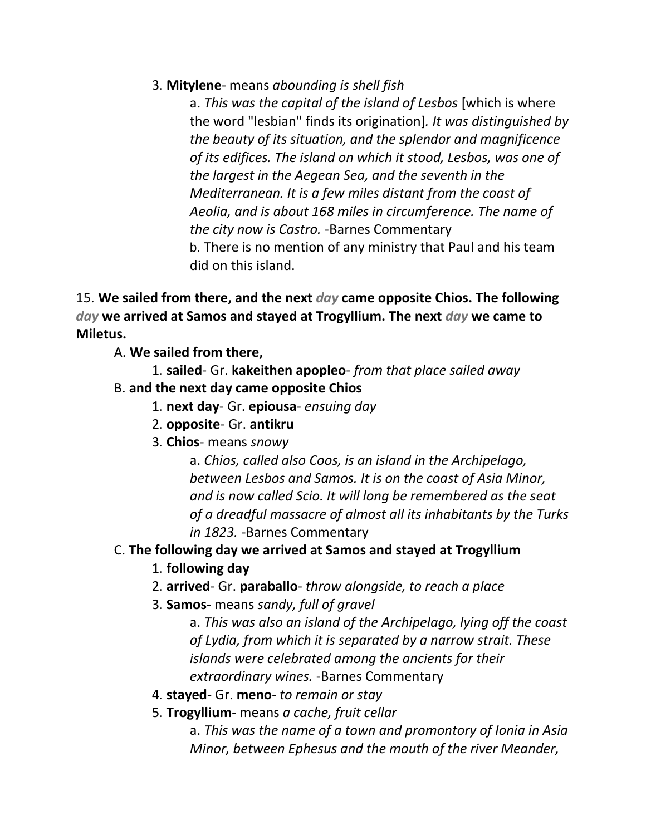### 3. **Mitylene**- means *abounding is shell fish*

a. *This was the capital of the island of Lesbos* [which is where the word "lesbian" finds its origination]*. It was distinguished by the beauty of its situation, and the splendor and magnificence of its edifices. The island on which it stood, Lesbos, was one of the largest in the Aegean Sea, and the seventh in the Mediterranean. It is a few miles distant from the coast of Aeolia, and is about 168 miles in circumference. The name of the city now is Castro.* -Barnes Commentary b. There is no mention of any ministry that Paul and his team did on this island.

15. **We sailed from there, and the next** *day* **came opposite Chios. The following**  *day* **we arrived at Samos and stayed at Trogyllium. The next** *day* **we came to Miletus.**

- A. **We sailed from there,**
	- 1. **sailed** Gr. **kakeithen apopleo** *from that place sailed away*
- B. **and the next day came opposite Chios**
	- 1. **next day** Gr. **epiousa** *ensuing day*
	- 2. **opposite** Gr. **antikru**
	- 3. **Chios** means *snowy*

a. *Chios, called also Coos, is an island in the Archipelago, between Lesbos and Samos. It is on the coast of Asia Minor, and is now called Scio. It will long be remembered as the seat of a dreadful massacre of almost all its inhabitants by the Turks in 1823.* -Barnes Commentary

# C. **The following day we arrived at Samos and stayed at Trogyllium**

- 1. **following day**
- 2. **arrived** Gr. **paraballo** *throw alongside, to reach a place*
- 3. **Samos** means *sandy, full of gravel*

a. *This was also an island of the Archipelago, lying off the coast of Lydia, from which it is separated by a narrow strait. These islands were celebrated among the ancients for their extraordinary wines.* -Barnes Commentary

- 4. **stayed** Gr. **meno** *to remain or stay*
- 5. **Trogyllium** means *a cache, fruit cellar*

a. *This was the name of a town and promontory of Ionia in Asia Minor, between Ephesus and the mouth of the river Meander,*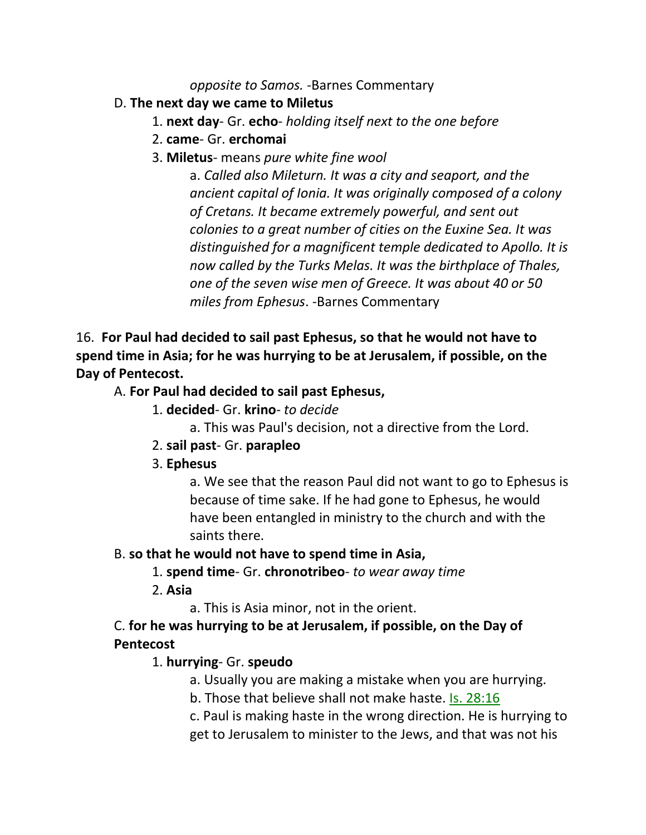*opposite to Samos.* -Barnes Commentary

- D. **The next day we came to Miletus**
	- 1. **next day** Gr. **echo** *holding itself next to the one before*
	- 2. **came** Gr. **erchomai**
	- 3. **Miletus** means *pure white fine wool*

a. *Called also Mileturn. It was a city and seaport, and the ancient capital of Ionia. It was originally composed of a colony of Cretans. It became extremely powerful, and sent out colonies to a great number of cities on the Euxine Sea. It was distinguished for a magnificent temple dedicated to Apollo. It is now called by the Turks Melas. It was the birthplace of Thales, one of the seven wise men of Greece. It was about 40 or 50 miles from Ephesus*. -Barnes Commentary

16. **For Paul had decided to sail past Ephesus, so that he would not have to spend time in Asia; for he was hurrying to be at Jerusalem, if possible, on the Day of Pentecost.**

# A. **For Paul had decided to sail past Ephesus,**

- 1. **decided** Gr. **krino** *to decide*
	- a. This was Paul's decision, not a directive from the Lord.
- 2. **sail past** Gr. **parapleo**
- 3. **Ephesus**

a. We see that the reason Paul did not want to go to Ephesus is because of time sake. If he had gone to Ephesus, he would have been entangled in ministry to the church and with the saints there.

### B. **so that he would not have to spend time in Asia,**

- 1. **spend time** Gr. **chronotribeo** *to wear away time*
- 2. **Asia**
	- a. This is Asia minor, not in the orient.

# C. **for he was hurrying to be at Jerusalem, if possible, on the Day of Pentecost**

# 1. **hurrying**- Gr. **speudo**

- a. Usually you are making a mistake when you are hurrying.
- b. Those that believe shall not make haste. Is. 28:16
- c. Paul is making haste in the wrong direction. He is hurrying to

get to Jerusalem to minister to the Jews, and that was not his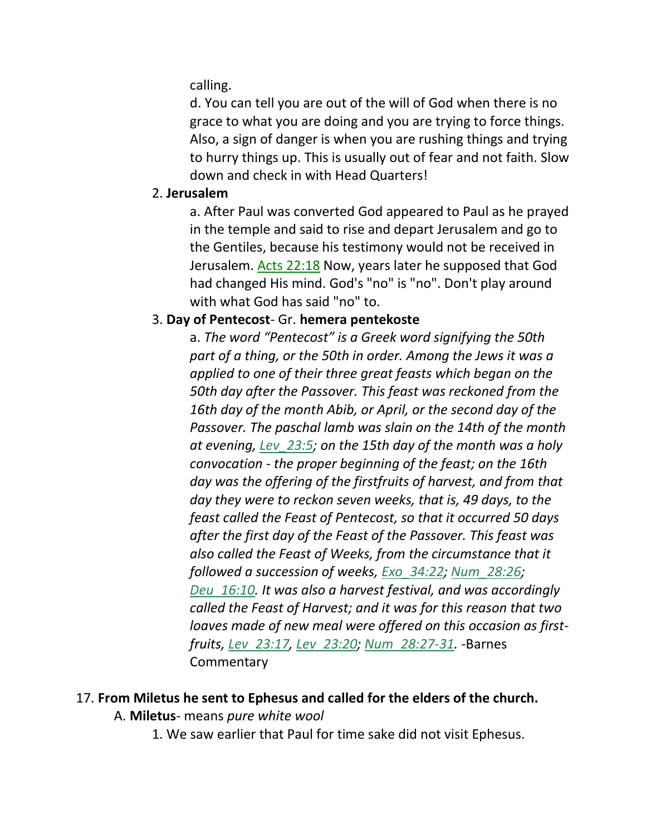calling.

d. You can tell you are out of the will of God when there is no grace to what you are doing and you are trying to force things. Also, a sign of danger is when you are rushing things and trying to hurry things up. This is usually out of fear and not faith. Slow down and check in with Head Quarters!

#### 2. **Jerusalem**

a. After Paul was converted God appeared to Paul as he prayed in the temple and said to rise and depart Jerusalem and go to the Gentiles, because his testimony would not be received in Jerusalem. Acts 22:18 Now, years later he supposed that God had changed His mind. God's "no" is "no". Don't play around with what God has said "no" to.

#### 3. **Day of Pentecost**- Gr. **hemera pentekoste**

a. *The word "Pentecost" is a Greek word signifying the 50th part of a thing, or the 50th in order. Among the Jews it was a applied to one of their three great feasts which began on the 50th day after the Passover. This feast was reckoned from the 16th day of the month Abib, or April, or the second day of the Passover. The paschal lamb was slain on the 14th of the month at evening, Lev\_23:5; on the 15th day of the month was a holy convocation - the proper beginning of the feast; on the 16th day was the offering of the firstfruits of harvest, and from that day they were to reckon seven weeks, that is, 49 days, to the feast called the Feast of Pentecost, so that it occurred 50 days after the first day of the Feast of the Passover. This feast was also called the Feast of Weeks, from the circumstance that it followed a succession of weeks, Exo\_34:22; Num\_28:26; Deu\_16:10. It was also a harvest festival, and was accordingly called the Feast of Harvest; and it was for this reason that two loaves made of new meal were offered on this occasion as firstfruits, Lev\_23:17, Lev\_23:20; Num\_28:27-31.* -Barnes **Commentary** 

#### 17. **From Miletus he sent to Ephesus and called for the elders of the church.**

- A. **Miletus** means *pure white wool*
	- 1. We saw earlier that Paul for time sake did not visit Ephesus.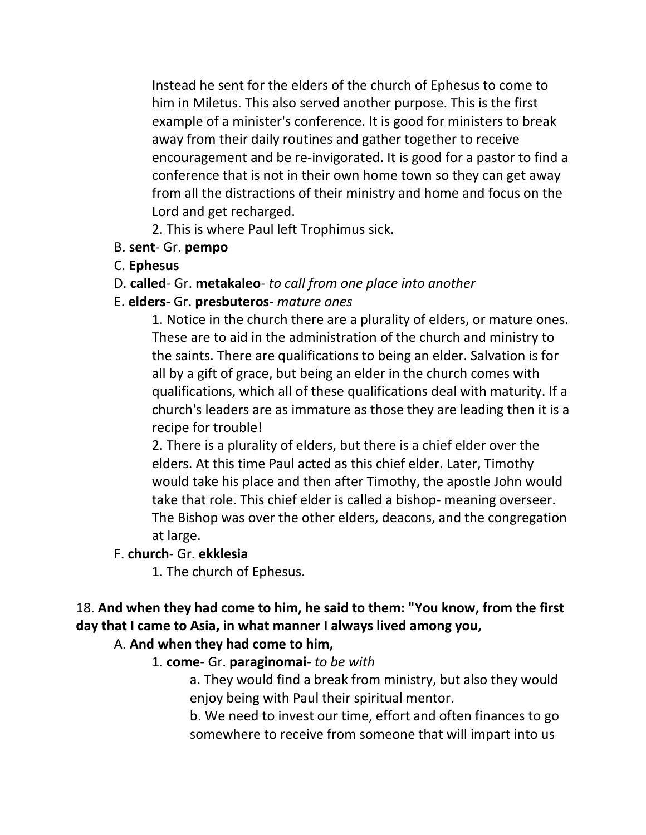Instead he sent for the elders of the church of Ephesus to come to him in Miletus. This also served another purpose. This is the first example of a minister's conference. It is good for ministers to break away from their daily routines and gather together to receive encouragement and be re-invigorated. It is good for a pastor to find a conference that is not in their own home town so they can get away from all the distractions of their ministry and home and focus on the Lord and get recharged.

2. This is where Paul left Trophimus sick.

- B. **sent** Gr. **pempo**
- C. **Ephesus**
- D. **called** Gr. **metakaleo** *to call from one place into another*
- E. **elders** Gr. **presbuteros** *mature ones*

1. Notice in the church there are a plurality of elders, or mature ones. These are to aid in the administration of the church and ministry to the saints. There are qualifications to being an elder. Salvation is for all by a gift of grace, but being an elder in the church comes with qualifications, which all of these qualifications deal with maturity. If a church's leaders are as immature as those they are leading then it is a recipe for trouble!

2. There is a plurality of elders, but there is a chief elder over the elders. At this time Paul acted as this chief elder. Later, Timothy would take his place and then after Timothy, the apostle John would take that role. This chief elder is called a bishop- meaning overseer. The Bishop was over the other elders, deacons, and the congregation at large.

#### F. **church**- Gr. **ekklesia**

1. The church of Ephesus.

# 18. **And when they had come to him, he said to them: "You know, from the first day that I came to Asia, in what manner I always lived among you,**

### A. **And when they had come to him,**

### 1. **come**- Gr. **paraginomai**- *to be with*

a. They would find a break from ministry, but also they would enjoy being with Paul their spiritual mentor.

b. We need to invest our time, effort and often finances to go somewhere to receive from someone that will impart into us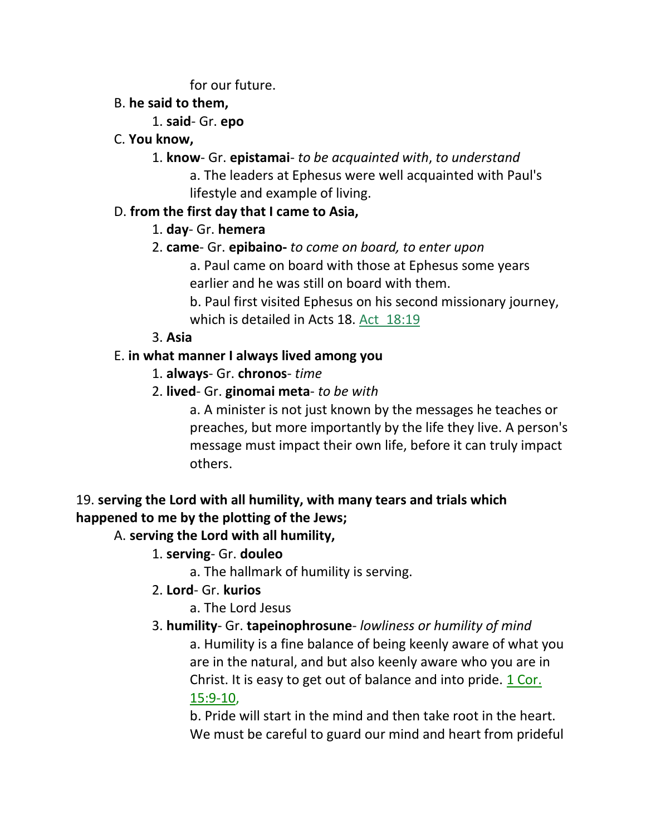for our future.

# B. **he said to them,**

# 1. **said**- Gr. **epo**

# C. **You know,**

- 1. **know** Gr. **epistamai** *to be acquainted with*, *to understand*
	- a. The leaders at Ephesus were well acquainted with Paul's lifestyle and example of living.

# D. **from the first day that I came to Asia,**

# 1. **day**- Gr. **hemera**

- 2. **came** Gr. **epibaino-** *to come on board, to enter upon*
	- a. Paul came on board with those at Ephesus some years earlier and he was still on board with them.

b. Paul first visited Ephesus on his second missionary journey, which is detailed in Acts 18. Act 18:19

# 3. **Asia**

# E. **in what manner I always lived among you**

- 1. **always** Gr. **chronos** *time*
- 2. **lived** Gr. **ginomai meta** *to be with*
	- a. A minister is not just known by the messages he teaches or preaches, but more importantly by the life they live. A person's message must impact their own life, before it can truly impact others.

# 19. **serving the Lord with all humility, with many tears and trials which happened to me by the plotting of the Jews;**

# A. **serving the Lord with all humility,**

# 1. **serving**- Gr. **douleo**

a. The hallmark of humility is serving.

# 2. **Lord**- Gr. **kurios**

a. The Lord Jesus

# 3. **humility**- Gr. **tapeinophrosune**- *lowliness or humility of mind*

a. Humility is a fine balance of being keenly aware of what you are in the natural, and but also keenly aware who you are in Christ. It is easy to get out of balance and into pride. 1 Cor. 15:9-10,

b. Pride will start in the mind and then take root in the heart. We must be careful to guard our mind and heart from prideful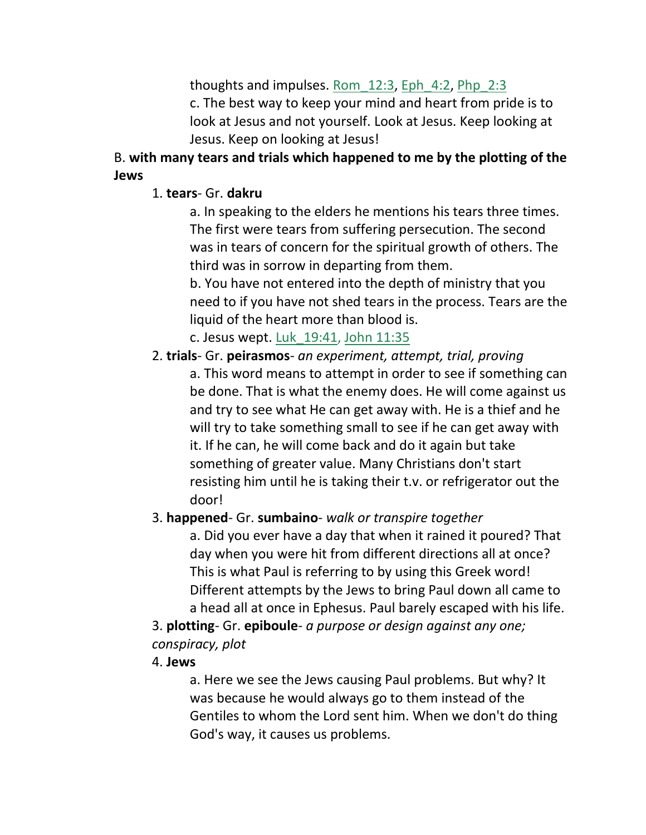thoughts and impulses. Rom  $12:3$ , Eph 4:2, Php  $2:3$ c. The best way to keep your mind and heart from pride is to look at Jesus and not yourself. Look at Jesus. Keep looking at Jesus. Keep on looking at Jesus!

# B. **with many tears and trials which happened to me by the plotting of the Jews**

### 1. **tears**- Gr. **dakru**

a. In speaking to the elders he mentions his tears three times. The first were tears from suffering persecution. The second was in tears of concern for the spiritual growth of others. The third was in sorrow in departing from them.

b. You have not entered into the depth of ministry that you need to if you have not shed tears in the process. Tears are the liquid of the heart more than blood is.

c. Jesus wept. Luk\_19:41, John 11:35

2. **trials**- Gr. **peirasmos**- *an experiment, attempt, trial, proving* a. This word means to attempt in order to see if something can be done. That is what the enemy does. He will come against us and try to see what He can get away with. He is a thief and he will try to take something small to see if he can get away with it. If he can, he will come back and do it again but take something of greater value. Many Christians don't start resisting him until he is taking their t.v. or refrigerator out the door!

### 3. **happened**- Gr. **sumbaino**- *walk or transpire together*

a. Did you ever have a day that when it rained it poured? That day when you were hit from different directions all at once? This is what Paul is referring to by using this Greek word! Different attempts by the Jews to bring Paul down all came to a head all at once in Ephesus. Paul barely escaped with his life.

3. **plotting**- Gr. **epiboule**- *a purpose or design against any one; conspiracy, plot*

### 4. **Jews**

a. Here we see the Jews causing Paul problems. But why? It was because he would always go to them instead of the Gentiles to whom the Lord sent him. When we don't do thing God's way, it causes us problems.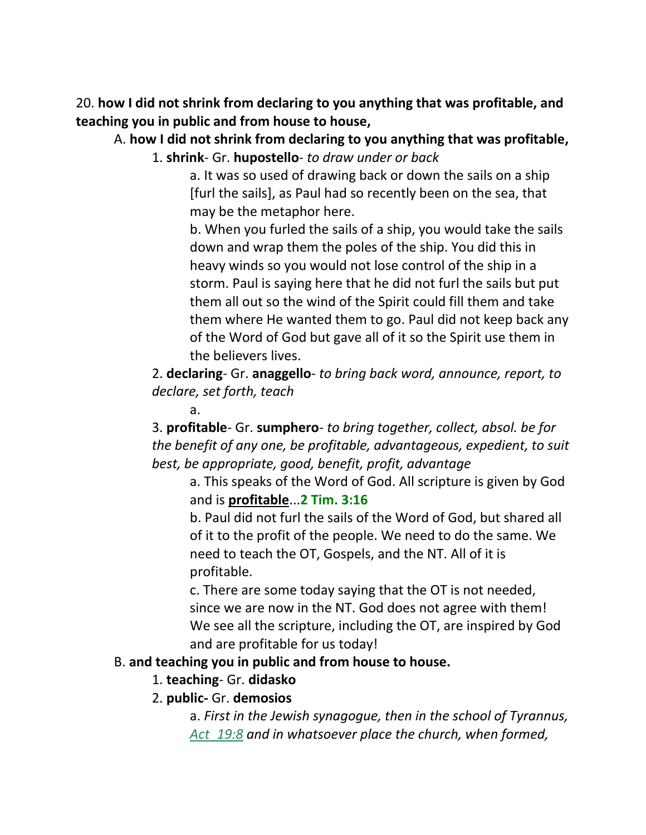20. **how I did not shrink from declaring to you anything that was profitable, and teaching you in public and from house to house,**

#### A. **how I did not shrink from declaring to you anything that was profitable,** 1. **shrink**- Gr. **hupostello**- *to draw under or back*

a. It was so used of drawing back or down the sails on a ship [furl the sails], as Paul had so recently been on the sea, that may be the metaphor here.

b. When you furled the sails of a ship, you would take the sails down and wrap them the poles of the ship. You did this in heavy winds so you would not lose control of the ship in a storm. Paul is saying here that he did not furl the sails but put them all out so the wind of the Spirit could fill them and take them where He wanted them to go. Paul did not keep back any of the Word of God but gave all of it so the Spirit use them in the believers lives.

2. **declaring**- Gr. **anaggello**- *to bring back word, announce, report, to declare, set forth, teach*

#### a.

3. **profitable**- Gr. **sumphero**- *to bring together, collect, absol. be for the benefit of any one, be profitable, advantageous, expedient, to suit best, be appropriate, good, benefit, profit, advantage*

a. This speaks of the Word of God. All scripture is given by God and is **profitable**...**2 Tim. 3:16**

b. Paul did not furl the sails of the Word of God, but shared all of it to the profit of the people. We need to do the same. We need to teach the OT, Gospels, and the NT. All of it is profitable.

c. There are some today saying that the OT is not needed, since we are now in the NT. God does not agree with them! We see all the scripture, including the OT, are inspired by God and are profitable for us today!

#### B. **and teaching you in public and from house to house.**

### 1. **teaching**- Gr. **didasko**

### 2. **public-** Gr. **demosios**

a. *First in the Jewish synagogue, then in the school of Tyrannus, Act\_19:8 and in whatsoever place the church, when formed,*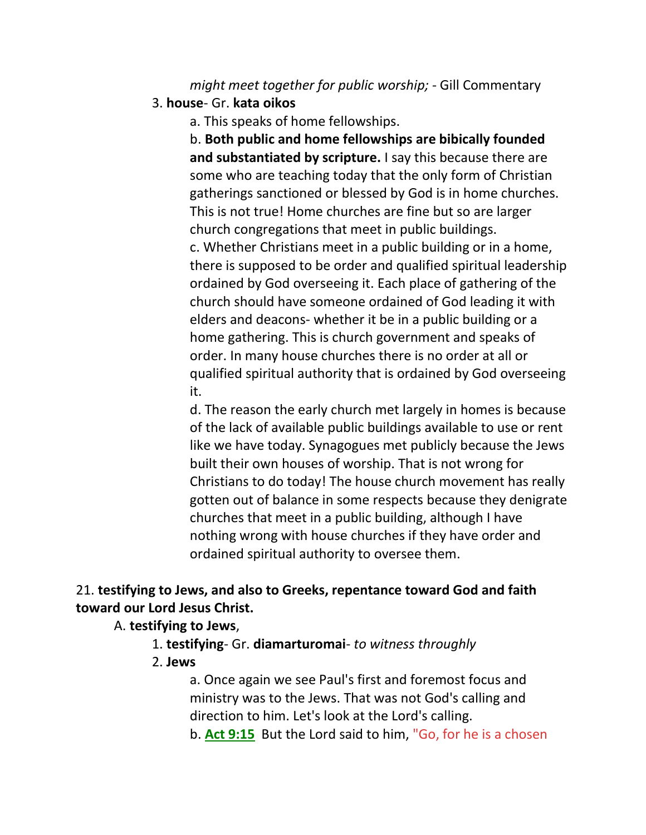*might meet together for public worship;* - Gill Commentary

3. **house**- Gr. **kata oikos**

a. This speaks of home fellowships.

b. **Both public and home fellowships are bibically founded and substantiated by scripture.** I say this because there are some who are teaching today that the only form of Christian gatherings sanctioned or blessed by God is in home churches. This is not true! Home churches are fine but so are larger church congregations that meet in public buildings.

c. Whether Christians meet in a public building or in a home, there is supposed to be order and qualified spiritual leadership ordained by God overseeing it. Each place of gathering of the church should have someone ordained of God leading it with elders and deacons- whether it be in a public building or a home gathering. This is church government and speaks of order. In many house churches there is no order at all or qualified spiritual authority that is ordained by God overseeing it.

d. The reason the early church met largely in homes is because of the lack of available public buildings available to use or rent like we have today. Synagogues met publicly because the Jews built their own houses of worship. That is not wrong for Christians to do today! The house church movement has really gotten out of balance in some respects because they denigrate churches that meet in a public building, although I have nothing wrong with house churches if they have order and ordained spiritual authority to oversee them.

# 21. **testifying to Jews, and also to Greeks, repentance toward God and faith toward our Lord Jesus Christ.**

#### A. **testifying to Jews**,

- 1. **testifying** Gr. **diamarturomai** *to witness throughly*
- 2. **Jews**

a. Once again we see Paul's first and foremost focus and ministry was to the Jews. That was not God's calling and direction to him. Let's look at the Lord's calling.

b. **Act 9:15** But the Lord said to him, "Go, for he is a chosen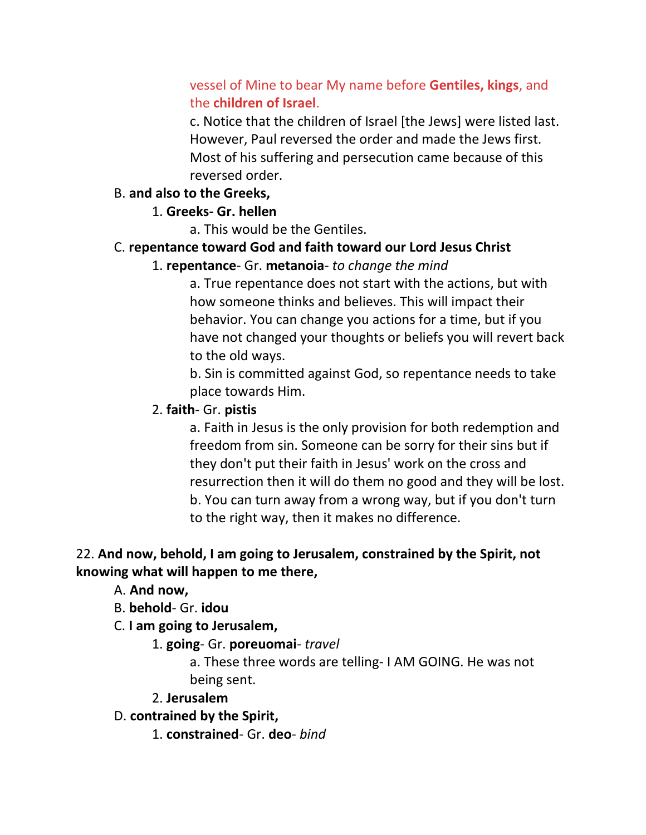# vessel of Mine to bear My name before **Gentiles, kings**, and the **children of Israel**.

c. Notice that the children of Israel [the Jews] were listed last. However, Paul reversed the order and made the Jews first. Most of his suffering and persecution came because of this reversed order.

#### B. **and also to the Greeks,**

#### 1. **Greeks- Gr. hellen**

a. This would be the Gentiles.

#### C. **repentance toward God and faith toward our Lord Jesus Christ**

### 1. **repentance**- Gr. **metanoia**- *to change the mind*

a. True repentance does not start with the actions, but with how someone thinks and believes. This will impact their behavior. You can change you actions for a time, but if you have not changed your thoughts or beliefs you will revert back to the old ways.

b. Sin is committed against God, so repentance needs to take place towards Him.

### 2. **faith**- Gr. **pistis**

a. Faith in Jesus is the only provision for both redemption and freedom from sin. Someone can be sorry for their sins but if they don't put their faith in Jesus' work on the cross and resurrection then it will do them no good and they will be lost. b. You can turn away from a wrong way, but if you don't turn to the right way, then it makes no difference.

### 22. **And now, behold, I am going to Jerusalem, constrained by the Spirit, not knowing what will happen to me there,**

A. **And now,**

B. **behold**- Gr. **idou**

C. **I am going to Jerusalem,**

1. **going**- Gr. **poreuomai**- *travel*

a. These three words are telling- I AM GOING. He was not being sent.

2. **Jerusalem**

- D. **contrained by the Spirit,**
	- 1. **constrained** Gr. **deo** *bind*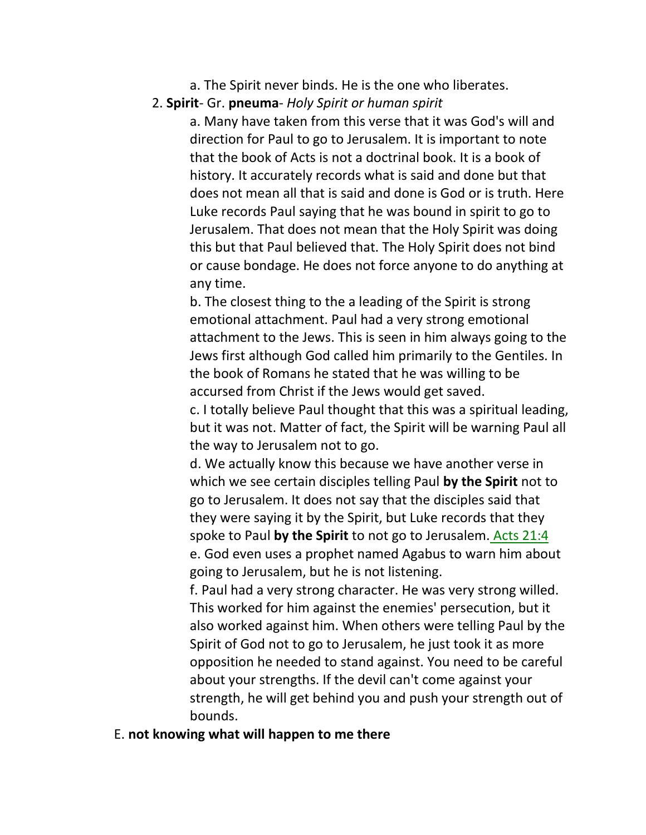- a. The Spirit never binds. He is the one who liberates.
- 2. **Spirit** Gr. **pneuma** *Holy Spirit or human spirit*

a. Many have taken from this verse that it was God's will and direction for Paul to go to Jerusalem. It is important to note that the book of Acts is not a doctrinal book. It is a book of history. It accurately records what is said and done but that does not mean all that is said and done is God or is truth. Here Luke records Paul saying that he was bound in spirit to go to Jerusalem. That does not mean that the Holy Spirit was doing this but that Paul believed that. The Holy Spirit does not bind or cause bondage. He does not force anyone to do anything at any time.

b. The closest thing to the a leading of the Spirit is strong emotional attachment. Paul had a very strong emotional attachment to the Jews. This is seen in him always going to the Jews first although God called him primarily to the Gentiles. In the book of Romans he stated that he was willing to be accursed from Christ if the Jews would get saved.

c. I totally believe Paul thought that this was a spiritual leading, but it was not. Matter of fact, the Spirit will be warning Paul all the way to Jerusalem not to go.

d. We actually know this because we have another verse in which we see certain disciples telling Paul **by the Spirit** not to go to Jerusalem. It does not say that the disciples said that they were saying it by the Spirit, but Luke records that they spoke to Paul **by the Spirit** to not go to Jerusalem. Acts 21:4 e. God even uses a prophet named Agabus to warn him about going to Jerusalem, but he is not listening.

f. Paul had a very strong character. He was very strong willed. This worked for him against the enemies' persecution, but it also worked against him. When others were telling Paul by the Spirit of God not to go to Jerusalem, he just took it as more opposition he needed to stand against. You need to be careful about your strengths. If the devil can't come against your strength, he will get behind you and push your strength out of bounds.

E. **not knowing what will happen to me there**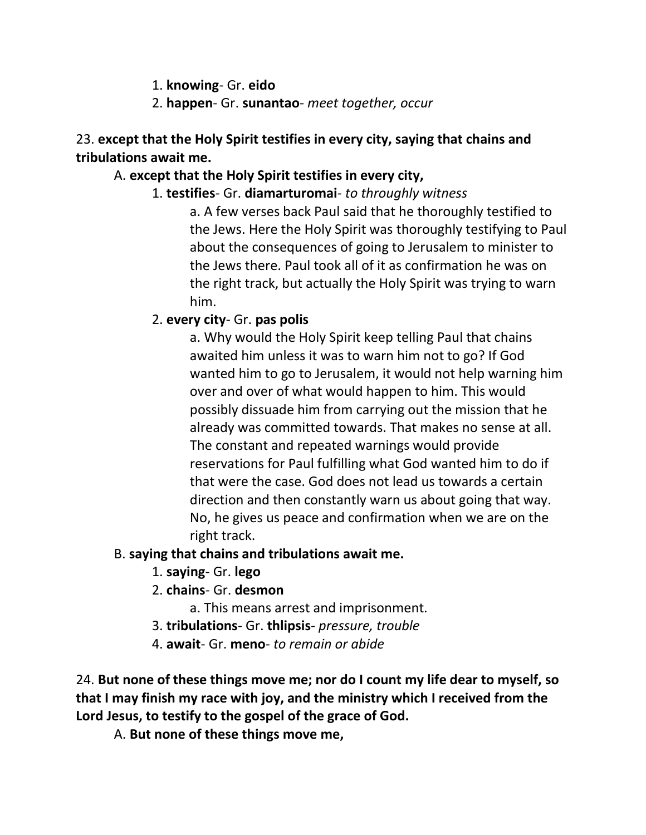- 1. **knowing** Gr. **eido**
- 2. **happen** Gr. **sunantao** *meet together, occur*

23. **except that the Holy Spirit testifies in every city, saying that chains and tribulations await me.**

### A. **except that the Holy Spirit testifies in every city,**

1. **testifies**- Gr. **diamarturomai**- *to throughly witness*

a. A few verses back Paul said that he thoroughly testified to the Jews. Here the Holy Spirit was thoroughly testifying to Paul about the consequences of going to Jerusalem to minister to the Jews there. Paul took all of it as confirmation he was on the right track, but actually the Holy Spirit was trying to warn him.

### 2. **every city**- Gr. **pas polis**

a. Why would the Holy Spirit keep telling Paul that chains awaited him unless it was to warn him not to go? If God wanted him to go to Jerusalem, it would not help warning him over and over of what would happen to him. This would possibly dissuade him from carrying out the mission that he already was committed towards. That makes no sense at all. The constant and repeated warnings would provide reservations for Paul fulfilling what God wanted him to do if that were the case. God does not lead us towards a certain direction and then constantly warn us about going that way. No, he gives us peace and confirmation when we are on the right track.

### B. **saying that chains and tribulations await me.**

- 1. **saying** Gr. **lego**
- 2. **chains** Gr. **desmon**

a. This means arrest and imprisonment.

- 3. **tribulations** Gr. **thlipsis** *pressure, trouble*
- 4. **await** Gr. **meno** *to remain or abide*

24. **But none of these things move me; nor do I count my life dear to myself, so that I may finish my race with joy, and the ministry which I received from the Lord Jesus, to testify to the gospel of the grace of God.**

A. **But none of these things move me,**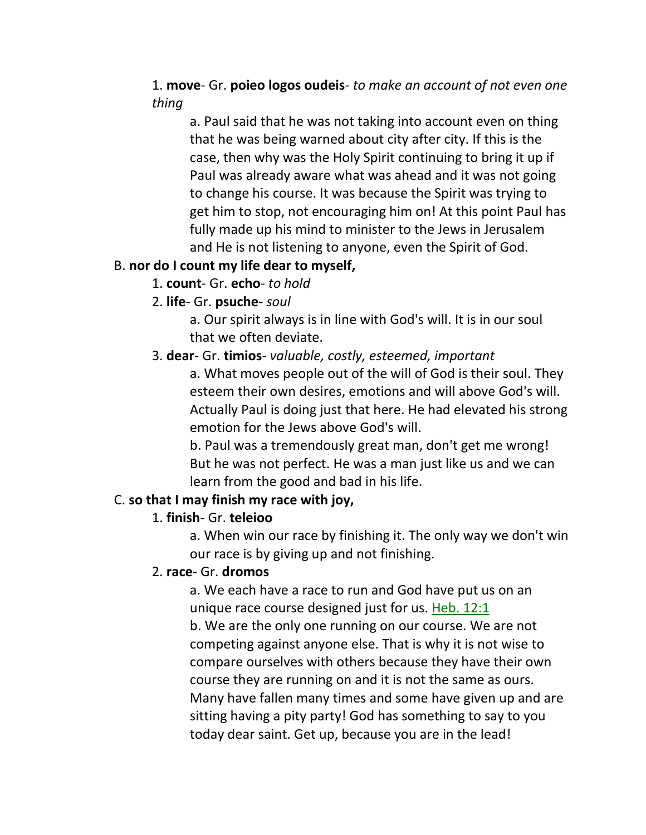### 1. **move**- Gr. **poieo logos oudeis**- *to make an account of not even one thing*

a. Paul said that he was not taking into account even on thing that he was being warned about city after city. If this is the case, then why was the Holy Spirit continuing to bring it up if Paul was already aware what was ahead and it was not going to change his course. It was because the Spirit was trying to get him to stop, not encouraging him on! At this point Paul has fully made up his mind to minister to the Jews in Jerusalem and He is not listening to anyone, even the Spirit of God.

#### B. **nor do I count my life dear to myself,**

- 1. **count** Gr. **echo** *to hold*
- 2. **life** Gr. **psuche** *soul*

a. Our spirit always is in line with God's will. It is in our soul that we often deviate.

#### 3. **dear**- Gr. **timios**- *valuable, costly, esteemed, important*

a. What moves people out of the will of God is their soul. They esteem their own desires, emotions and will above God's will. Actually Paul is doing just that here. He had elevated his strong emotion for the Jews above God's will.

b. Paul was a tremendously great man, don't get me wrong! But he was not perfect. He was a man just like us and we can learn from the good and bad in his life.

#### C. **so that I may finish my race with joy,**

#### 1. **finish**- Gr. **teleioo**

a. When win our race by finishing it. The only way we don't win our race is by giving up and not finishing.

#### 2. **race**- Gr. **dromos**

a. We each have a race to run and God have put us on an unique race course designed just for us. Heb. 12:1 b. We are the only one running on our course. We are not competing against anyone else. That is why it is not wise to compare ourselves with others because they have their own course they are running on and it is not the same as ours. Many have fallen many times and some have given up and are sitting having a pity party! God has something to say to you today dear saint. Get up, because you are in the lead!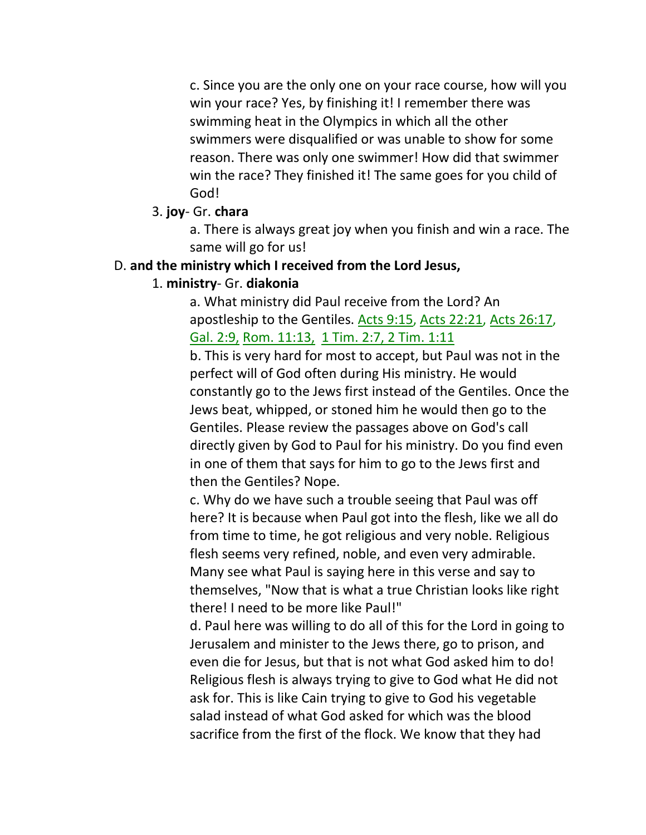c. Since you are the only one on your race course, how will you win your race? Yes, by finishing it! I remember there was swimming heat in the Olympics in which all the other swimmers were disqualified or was unable to show for some reason. There was only one swimmer! How did that swimmer win the race? They finished it! The same goes for you child of God!

#### 3. **joy**- Gr. **chara**

a. There is always great joy when you finish and win a race. The same will go for us!

#### D. **and the ministry which I received from the Lord Jesus,**

#### 1. **ministry**- Gr. **diakonia**

a. What ministry did Paul receive from the Lord? An apostleship to the Gentiles. Acts 9:15, Acts 22:21, Acts 26:17, Gal. 2:9, Rom. 11:13, 1 Tim. 2:7, 2 Tim. 1:11

b. This is very hard for most to accept, but Paul was not in the perfect will of God often during His ministry. He would constantly go to the Jews first instead of the Gentiles. Once the Jews beat, whipped, or stoned him he would then go to the Gentiles. Please review the passages above on God's call directly given by God to Paul for his ministry. Do you find even in one of them that says for him to go to the Jews first and then the Gentiles? Nope.

c. Why do we have such a trouble seeing that Paul was off here? It is because when Paul got into the flesh, like we all do from time to time, he got religious and very noble. Religious flesh seems very refined, noble, and even very admirable. Many see what Paul is saying here in this verse and say to themselves, "Now that is what a true Christian looks like right there! I need to be more like Paul!"

d. Paul here was willing to do all of this for the Lord in going to Jerusalem and minister to the Jews there, go to prison, and even die for Jesus, but that is not what God asked him to do! Religious flesh is always trying to give to God what He did not ask for. This is like Cain trying to give to God his vegetable salad instead of what God asked for which was the blood sacrifice from the first of the flock. We know that they had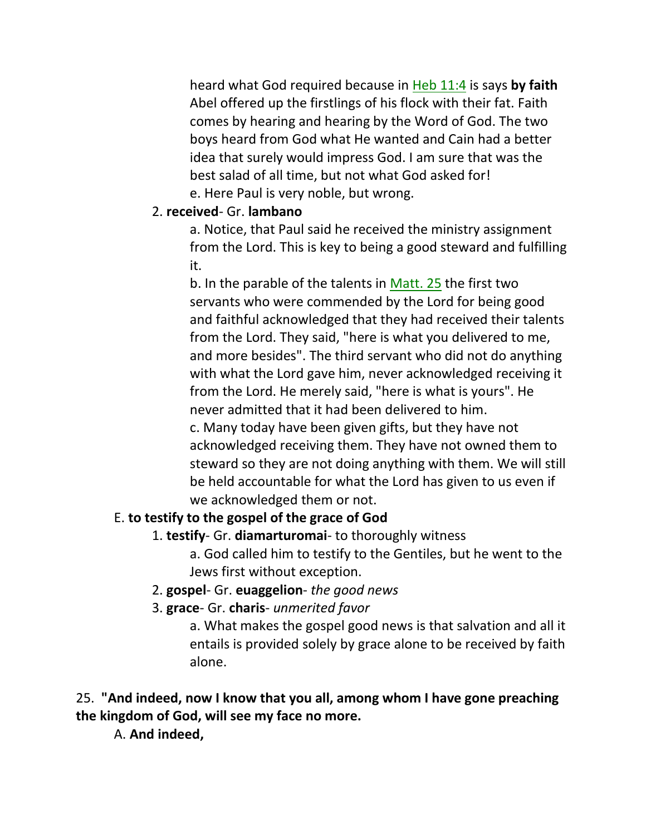heard what God required because in Heb 11:4 is says **by faith** Abel offered up the firstlings of his flock with their fat. Faith comes by hearing and hearing by the Word of God. The two boys heard from God what He wanted and Cain had a better idea that surely would impress God. I am sure that was the best salad of all time, but not what God asked for! e. Here Paul is very noble, but wrong.

### 2. **received**- Gr. **lambano**

a. Notice, that Paul said he received the ministry assignment from the Lord. This is key to being a good steward and fulfilling it.

b. In the parable of the talents in Matt. 25 the first two servants who were commended by the Lord for being good and faithful acknowledged that they had received their talents from the Lord. They said, "here is what you delivered to me, and more besides". The third servant who did not do anything with what the Lord gave him, never acknowledged receiving it from the Lord. He merely said, "here is what is yours". He never admitted that it had been delivered to him. c. Many today have been given gifts, but they have not acknowledged receiving them. They have not owned them to steward so they are not doing anything with them. We will still be held accountable for what the Lord has given to us even if we acknowledged them or not.

### E. **to testify to the gospel of the grace of God**

# 1. **testify**- Gr. **diamarturomai**- to thoroughly witness

a. God called him to testify to the Gentiles, but he went to the Jews first without exception.

- 2. **gospel** Gr. **euaggelion** *the good news*
- 3. **grace** Gr. **charis** *unmerited favor*

a. What makes the gospel good news is that salvation and all it entails is provided solely by grace alone to be received by faith alone.

# 25. **"And indeed, now I know that you all, among whom I have gone preaching the kingdom of God, will see my face no more.**

A. **And indeed,**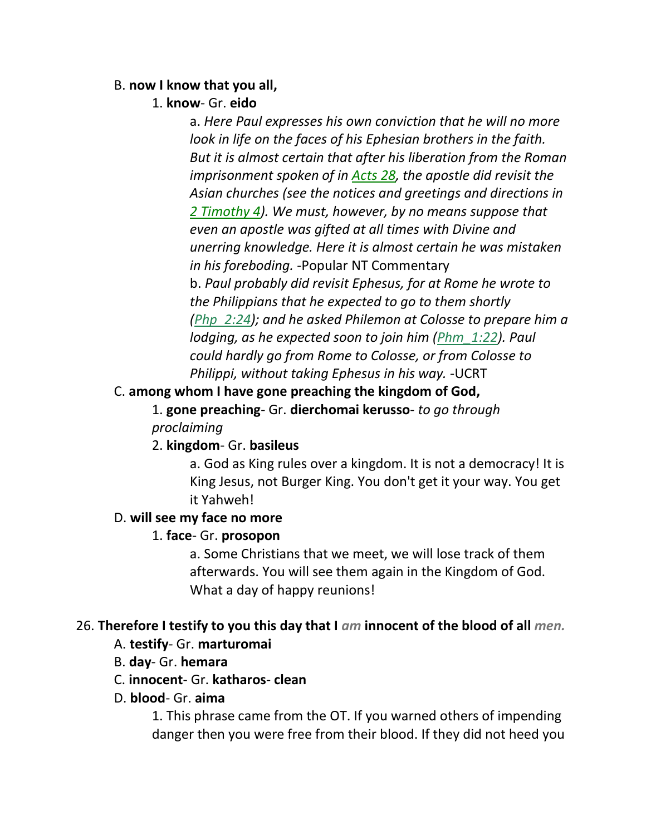#### B. **now I know that you all,**

#### 1. **know**- Gr. **eido**

a. *Here Paul expresses his own conviction that he will no more look in life on the faces of his Ephesian brothers in the faith. But it is almost certain that after his liberation from the Roman imprisonment spoken of in Acts 28, the apostle did revisit the Asian churches (see the notices and greetings and directions in 2 Timothy 4). We must, however, by no means suppose that even an apostle was gifted at all times with Divine and unerring knowledge. Here it is almost certain he was mistaken in his foreboding.* -Popular NT Commentary b. *Paul probably did revisit Ephesus, for at Rome he wrote to the Philippians that he expected to go to them shortly (Php\_2:24); and he asked Philemon at Colosse to prepare him a lodging, as he expected soon to join him (Phm\_1:22). Paul could hardly go from Rome to Colosse, or from Colosse to Philippi, without taking Ephesus in his way.* -UCRT

### C. **among whom I have gone preaching the kingdom of God,**

1. **gone preaching**- Gr. **dierchomai kerusso**- *to go through proclaiming*

### 2. **kingdom**- Gr. **basileus**

a. God as King rules over a kingdom. It is not a democracy! It is King Jesus, not Burger King. You don't get it your way. You get it Yahweh!

#### D. **will see my face no more**

### 1. **face**- Gr. **prosopon**

a. Some Christians that we meet, we will lose track of them afterwards. You will see them again in the Kingdom of God. What a day of happy reunions!

### 26. **Therefore I testify to you this day that I** *am* **innocent of the blood of all** *men.*

### A. **testify**- Gr. **marturomai**

B. **day**- Gr. **hemara**

#### C. **innocent**- Gr. **katharos**- **clean**

#### D. **blood**- Gr. **aima**

1. This phrase came from the OT. If you warned others of impending danger then you were free from their blood. If they did not heed you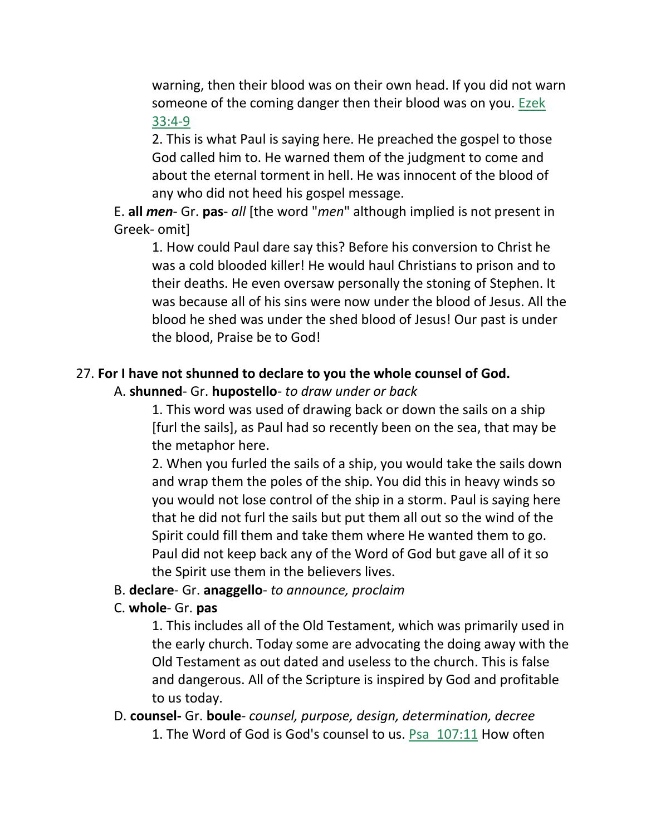warning, then their blood was on their own head. If you did not warn someone of the coming danger then their blood was on you. Ezek 33:4-9

2. This is what Paul is saying here. He preached the gospel to those God called him to. He warned them of the judgment to come and about the eternal torment in hell. He was innocent of the blood of any who did not heed his gospel message.

E. **all** *men*- Gr. **pas**- *all* [the word "*men*" although implied is not present in Greek- omit]

1. How could Paul dare say this? Before his conversion to Christ he was a cold blooded killer! He would haul Christians to prison and to their deaths. He even oversaw personally the stoning of Stephen. It was because all of his sins were now under the blood of Jesus. All the blood he shed was under the shed blood of Jesus! Our past is under the blood, Praise be to God!

### 27. **For I have not shunned to declare to you the whole counsel of God.**

### A. **shunned**- Gr. **hupostello**- *to draw under or back*

1. This word was used of drawing back or down the sails on a ship [furl the sails], as Paul had so recently been on the sea, that may be the metaphor here.

2. When you furled the sails of a ship, you would take the sails down and wrap them the poles of the ship. You did this in heavy winds so you would not lose control of the ship in a storm. Paul is saying here that he did not furl the sails but put them all out so the wind of the Spirit could fill them and take them where He wanted them to go. Paul did not keep back any of the Word of God but gave all of it so the Spirit use them in the believers lives.

#### B. **declare**- Gr. **anaggello**- *to announce, proclaim*

#### C. **whole**- Gr. **pas**

1. This includes all of the Old Testament, which was primarily used in the early church. Today some are advocating the doing away with the Old Testament as out dated and useless to the church. This is false and dangerous. All of the Scripture is inspired by God and profitable to us today.

### D. **counsel-** Gr. **boule**- *counsel, purpose, design, determination, decree* 1. The Word of God is God's counsel to us. Psa\_107:11 How often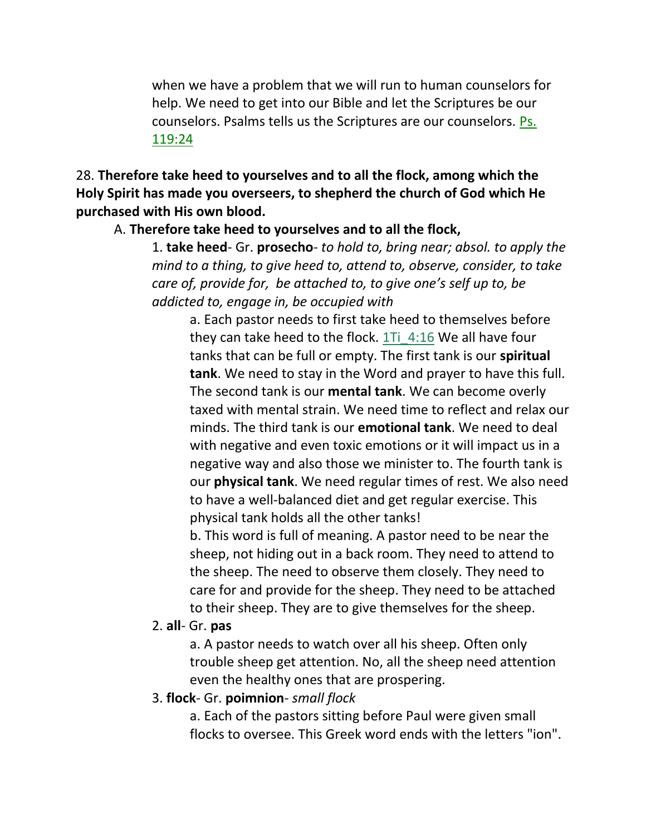when we have a problem that we will run to human counselors for help. We need to get into our Bible and let the Scriptures be our counselors. Psalms tells us the Scriptures are our counselors. Ps. 119:24

28. **Therefore take heed to yourselves and to all the flock, among which the Holy Spirit has made you overseers, to shepherd the church of God which He purchased with His own blood.**

#### A. **Therefore take heed to yourselves and to all the flock,**

1. **take heed**- Gr. **prosecho**- *to hold to, bring near; absol. to apply the mind to a thing, to give heed to, attend to, observe, consider, to take care of, provide for, be attached to, to give one's self up to, be addicted to, engage in, be occupied with*

a. Each pastor needs to first take heed to themselves before they can take heed to the flock.  $1Ti$  4:16 We all have four tanks that can be full or empty. The first tank is our **spiritual tank**. We need to stay in the Word and prayer to have this full. The second tank is our **mental tank**. We can become overly taxed with mental strain. We need time to reflect and relax our minds. The third tank is our **emotional tank**. We need to deal with negative and even toxic emotions or it will impact us in a negative way and also those we minister to. The fourth tank is our **physical tank**. We need regular times of rest. We also need to have a well-balanced diet and get regular exercise. This physical tank holds all the other tanks!

b. This word is full of meaning. A pastor need to be near the sheep, not hiding out in a back room. They need to attend to the sheep. The need to observe them closely. They need to care for and provide for the sheep. They need to be attached to their sheep. They are to give themselves for the sheep.

#### 2. **all**- Gr. **pas**

a. A pastor needs to watch over all his sheep. Often only trouble sheep get attention. No, all the sheep need attention even the healthy ones that are prospering.

#### 3. **flock**- Gr. **poimnion**- *small flock*

a. Each of the pastors sitting before Paul were given small flocks to oversee. This Greek word ends with the letters "ion".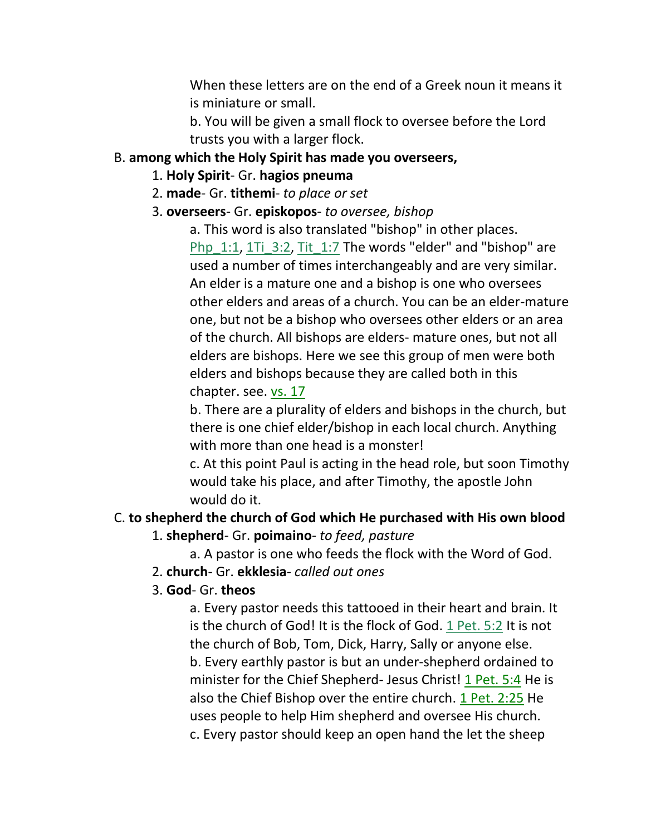When these letters are on the end of a Greek noun it means it is miniature or small.

b. You will be given a small flock to oversee before the Lord trusts you with a larger flock.

#### B. **among which the Holy Spirit has made you overseers,**

- 1. **Holy Spirit** Gr. **hagios pneuma**
- 2. **made** Gr. **tithemi** *to place or set*
- 3. **overseers** Gr. **episkopos** *to oversee, bishop*

a. This word is also translated "bishop" in other places. Php\_1:1, 1Ti\_3:2, Tit\_1:7 The words "elder" and "bishop" are used a number of times interchangeably and are very similar. An elder is a mature one and a bishop is one who oversees other elders and areas of a church. You can be an elder-mature one, but not be a bishop who oversees other elders or an area of the church. All bishops are elders- mature ones, but not all elders are bishops. Here we see this group of men were both elders and bishops because they are called both in this chapter. see. vs. 17

b. There are a plurality of elders and bishops in the church, but there is one chief elder/bishop in each local church. Anything with more than one head is a monster!

c. At this point Paul is acting in the head role, but soon Timothy would take his place, and after Timothy, the apostle John would do it.

# C. **to shepherd the church of God which He purchased with His own blood**

1. **shepherd**- Gr. **poimaino**- *to feed, pasture*

a. A pastor is one who feeds the flock with the Word of God.

2. **church**- Gr. **ekklesia**- *called out ones*

### 3. **God**- Gr. **theos**

a. Every pastor needs this tattooed in their heart and brain. It is the church of God! It is the flock of God. 1 Pet. 5:2 It is not the church of Bob, Tom, Dick, Harry, Sally or anyone else. b. Every earthly pastor is but an under-shepherd ordained to minister for the Chief Shepherd- Jesus Christ! 1 Pet. 5:4 He is also the Chief Bishop over the entire church. 1 Pet. 2:25 He uses people to help Him shepherd and oversee His church. c. Every pastor should keep an open hand the let the sheep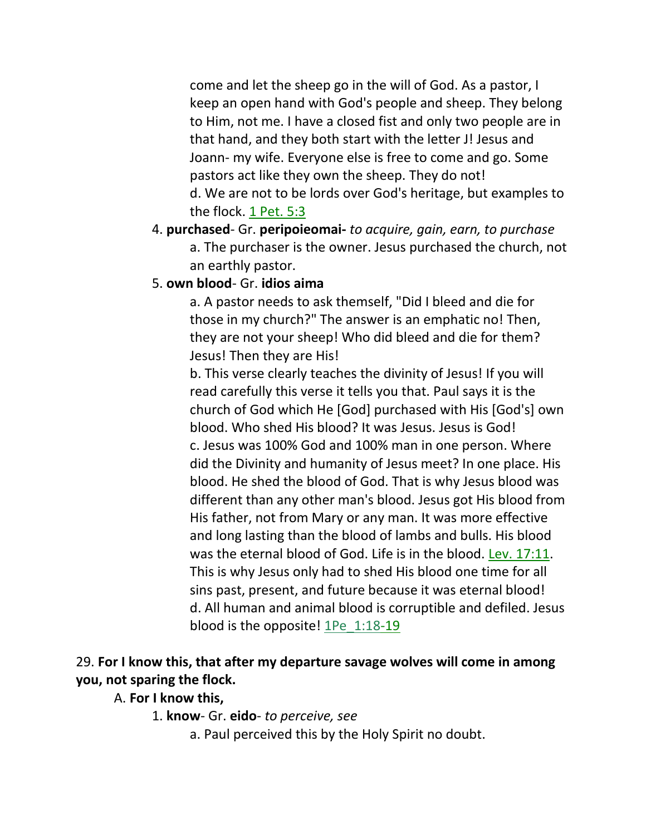come and let the sheep go in the will of God. As a pastor, I keep an open hand with God's people and sheep. They belong to Him, not me. I have a closed fist and only two people are in that hand, and they both start with the letter J! Jesus and Joann- my wife. Everyone else is free to come and go. Some pastors act like they own the sheep. They do not! d. We are not to be lords over God's heritage, but examples to the flock. 1 Pet. 5:3

- 4. **purchased** Gr. **peripoieomai-** *to acquire, gain, earn, to purchase* a. The purchaser is the owner. Jesus purchased the church, not an earthly pastor.
- 5. **own blood** Gr. **idios aima**

a. A pastor needs to ask themself, "Did I bleed and die for those in my church?" The answer is an emphatic no! Then, they are not your sheep! Who did bleed and die for them? Jesus! Then they are His!

b. This verse clearly teaches the divinity of Jesus! If you will read carefully this verse it tells you that. Paul says it is the church of God which He [God] purchased with His [God's] own blood. Who shed His blood? It was Jesus. Jesus is God! c. Jesus was 100% God and 100% man in one person. Where did the Divinity and humanity of Jesus meet? In one place. His blood. He shed the blood of God. That is why Jesus blood was different than any other man's blood. Jesus got His blood from His father, not from Mary or any man. It was more effective and long lasting than the blood of lambs and bulls. His blood was the eternal blood of God. Life is in the blood. Lev. 17:11. This is why Jesus only had to shed His blood one time for all sins past, present, and future because it was eternal blood! d. All human and animal blood is corruptible and defiled. Jesus blood is the opposite! 1Pe\_1:18-19

### 29. **For I know this, that after my departure savage wolves will come in among you, not sparing the flock.**

#### A. **For I know this,**

1. **know**- Gr. **eido**- *to perceive, see*

a. Paul perceived this by the Holy Spirit no doubt.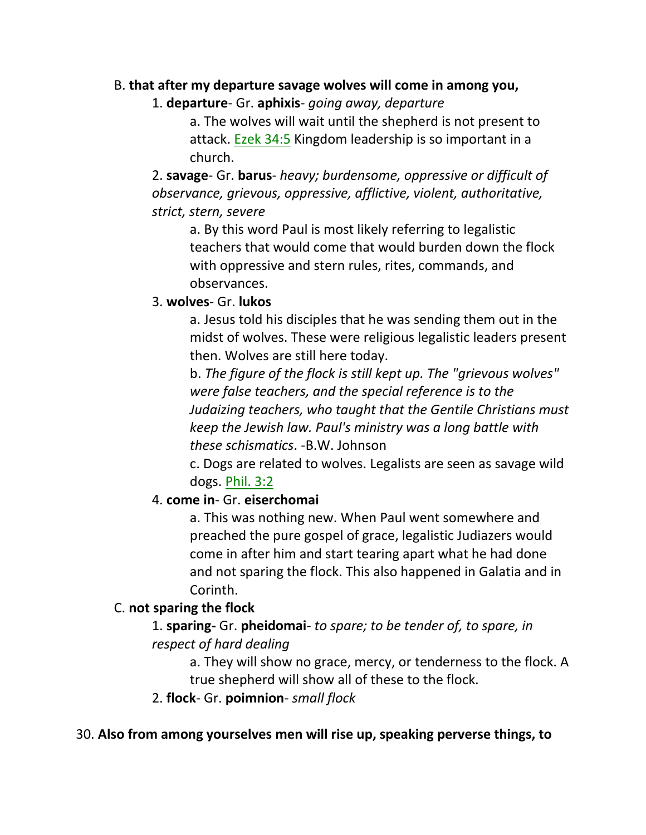#### B. **that after my departure savage wolves will come in among you,**

#### 1. **departure**- Gr. **aphixis**- *going away, departure*

a. The wolves will wait until the shepherd is not present to attack. Ezek 34:5 Kingdom leadership is so important in a church.

2. **savage**- Gr. **barus**- *heavy; burdensome, oppressive or difficult of observance, grievous, oppressive, afflictive, violent, authoritative, strict, stern, severe*

a. By this word Paul is most likely referring to legalistic teachers that would come that would burden down the flock with oppressive and stern rules, rites, commands, and observances.

#### 3. **wolves**- Gr. **lukos**

a. Jesus told his disciples that he was sending them out in the midst of wolves. These were religious legalistic leaders present then. Wolves are still here today.

b. *The figure of the flock is still kept up. The "grievous wolves" were false teachers, and the special reference is to the Judaizing teachers, who taught that the Gentile Christians must keep the Jewish law. Paul's ministry was a long battle with these schismatics*. -B.W. Johnson

c. Dogs are related to wolves. Legalists are seen as savage wild dogs. Phil. 3:2

#### 4. **come in**- Gr. **eiserchomai**

a. This was nothing new. When Paul went somewhere and preached the pure gospel of grace, legalistic Judiazers would come in after him and start tearing apart what he had done and not sparing the flock. This also happened in Galatia and in Corinth.

#### C. **not sparing the flock**

1. **sparing-** Gr. **pheidomai**- *to spare; to be tender of, to spare, in respect of hard dealing*

a. They will show no grace, mercy, or tenderness to the flock. A true shepherd will show all of these to the flock.

2. **flock**- Gr. **poimnion**- *small flock*

#### 30. **Also from among yourselves men will rise up, speaking perverse things, to**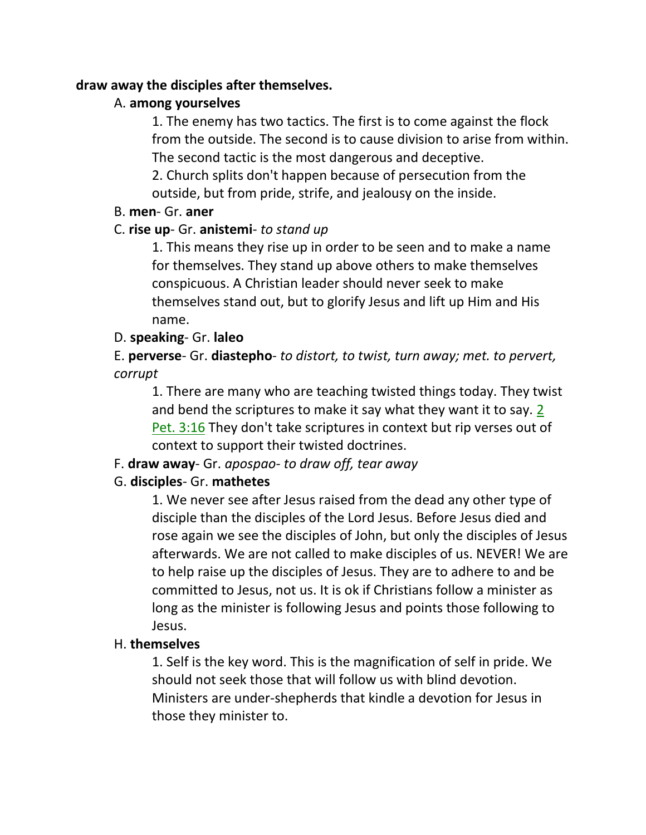#### **draw away the disciples after themselves.**

### A. **among yourselves**

1. The enemy has two tactics. The first is to come against the flock from the outside. The second is to cause division to arise from within. The second tactic is the most dangerous and deceptive.

2. Church splits don't happen because of persecution from the outside, but from pride, strife, and jealousy on the inside.

#### B. **men**- Gr. **aner**

### C. **rise up**- Gr. **anistemi**- *to stand up*

1. This means they rise up in order to be seen and to make a name for themselves. They stand up above others to make themselves conspicuous. A Christian leader should never seek to make themselves stand out, but to glorify Jesus and lift up Him and His name.

### D. **speaking**- Gr. **laleo**

E. **perverse**- Gr. **diastepho**- *to distort, to twist, turn away; met. to pervert, corrupt*

1. There are many who are teaching twisted things today. They twist and bend the scriptures to make it say what they want it to say. 2 Pet. 3:16 They don't take scriptures in context but rip verses out of context to support their twisted doctrines.

### F. **draw away**- Gr. *apospao*- *to draw off, tear away*

### G. **disciples**- Gr. **mathetes**

1. We never see after Jesus raised from the dead any other type of disciple than the disciples of the Lord Jesus. Before Jesus died and rose again we see the disciples of John, but only the disciples of Jesus afterwards. We are not called to make disciples of us. NEVER! We are to help raise up the disciples of Jesus. They are to adhere to and be committed to Jesus, not us. It is ok if Christians follow a minister as long as the minister is following Jesus and points those following to Jesus.

#### H. **themselves**

1. Self is the key word. This is the magnification of self in pride. We should not seek those that will follow us with blind devotion. Ministers are under-shepherds that kindle a devotion for Jesus in those they minister to.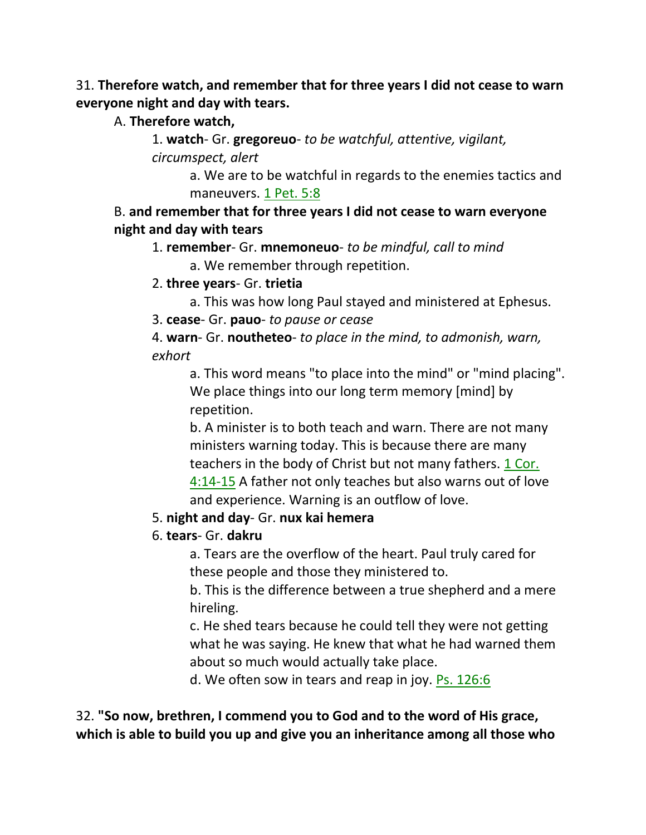31. **Therefore watch, and remember that for three years I did not cease to warn everyone night and day with tears.**

A. **Therefore watch,**

1. **watch**- Gr. **gregoreuo**- *to be watchful, attentive, vigilant, circumspect, alert*

> a. We are to be watchful in regards to the enemies tactics and maneuvers. 1 Pet. 5:8

B. **and remember that for three years I did not cease to warn everyone night and day with tears**

1. **remember**- Gr. **mnemoneuo**- *to be mindful, call to mind*  a. We remember through repetition.

2. **three years**- Gr. **trietia**

a. This was how long Paul stayed and ministered at Ephesus.

3. **cease**- Gr. **pauo**- *to pause or cease*

4. **warn**- Gr. **noutheteo**- *to place in the mind, to admonish, warn, exhort*

a. This word means "to place into the mind" or "mind placing". We place things into our long term memory [mind] by repetition.

b. A minister is to both teach and warn. There are not many ministers warning today. This is because there are many teachers in the body of Christ but not many fathers. 1 Cor. 4:14-15 A father not only teaches but also warns out of love and experience. Warning is an outflow of love.

5. **night and day**- Gr. **nux kai hemera**

6. **tears**- Gr. **dakru**

a. Tears are the overflow of the heart. Paul truly cared for these people and those they ministered to.

b. This is the difference between a true shepherd and a mere hireling.

c. He shed tears because he could tell they were not getting what he was saying. He knew that what he had warned them about so much would actually take place.

d. We often sow in tears and reap in joy. Ps. 126:6

32. **"So now, brethren, I commend you to God and to the word of His grace, which is able to build you up and give you an inheritance among all those who**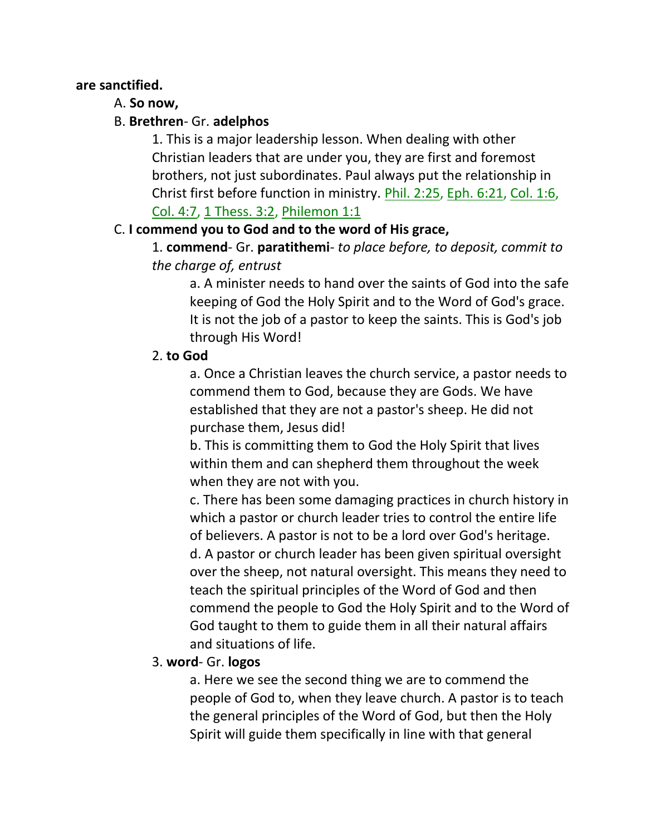#### **are sanctified.**

### A. **So now,**

### B. **Brethren**- Gr. **adelphos**

1. This is a major leadership lesson. When dealing with other Christian leaders that are under you, they are first and foremost brothers, not just subordinates. Paul always put the relationship in Christ first before function in ministry. Phil. 2:25, Eph. 6:21, Col. 1:6, Col. 4:7, 1 Thess. 3:2, Philemon 1:1

### C. **I commend you to God and to the word of His grace,**

1. **commend**- Gr. **paratithemi**- *to place before, to deposit, commit to the charge of, entrust*

a. A minister needs to hand over the saints of God into the safe keeping of God the Holy Spirit and to the Word of God's grace. It is not the job of a pastor to keep the saints. This is God's job through His Word!

### 2. **to God**

a. Once a Christian leaves the church service, a pastor needs to commend them to God, because they are Gods. We have established that they are not a pastor's sheep. He did not purchase them, Jesus did!

b. This is committing them to God the Holy Spirit that lives within them and can shepherd them throughout the week when they are not with you.

c. There has been some damaging practices in church history in which a pastor or church leader tries to control the entire life of believers. A pastor is not to be a lord over God's heritage. d. A pastor or church leader has been given spiritual oversight over the sheep, not natural oversight. This means they need to teach the spiritual principles of the Word of God and then commend the people to God the Holy Spirit and to the Word of God taught to them to guide them in all their natural affairs and situations of life.

### 3. **word**- Gr. **logos**

a. Here we see the second thing we are to commend the people of God to, when they leave church. A pastor is to teach the general principles of the Word of God, but then the Holy Spirit will guide them specifically in line with that general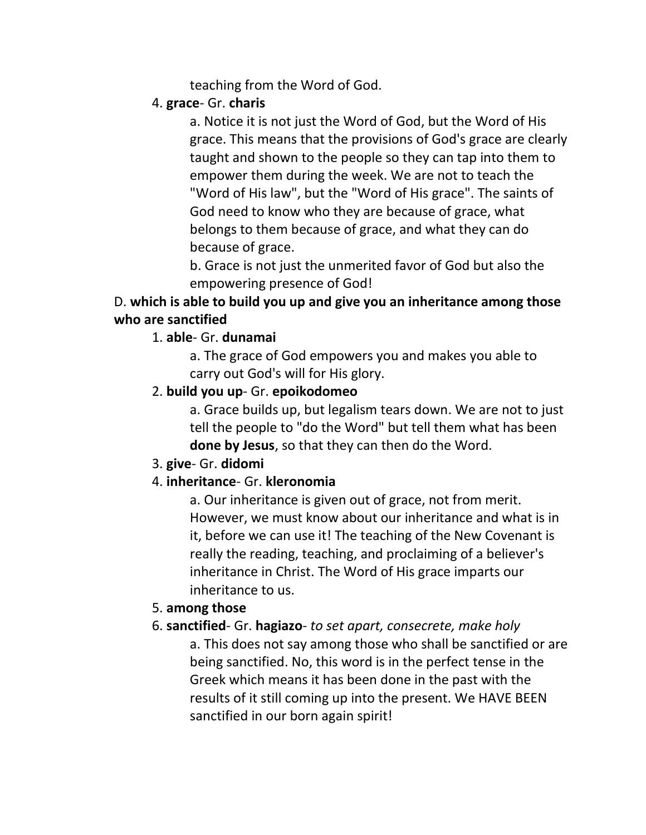teaching from the Word of God.

### 4. **grace**- Gr. **charis**

a. Notice it is not just the Word of God, but the Word of His grace. This means that the provisions of God's grace are clearly taught and shown to the people so they can tap into them to empower them during the week. We are not to teach the "Word of His law", but the "Word of His grace". The saints of God need to know who they are because of grace, what belongs to them because of grace, and what they can do because of grace.

b. Grace is not just the unmerited favor of God but also the empowering presence of God!

## D. **which is able to build you up and give you an inheritance among those who are sanctified**

### 1. **able**- Gr. **dunamai**

a. The grace of God empowers you and makes you able to carry out God's will for His glory.

### 2. **build you up**- Gr. **epoikodomeo**

a. Grace builds up, but legalism tears down. We are not to just tell the people to "do the Word" but tell them what has been **done by Jesus**, so that they can then do the Word.

### 3. **give**- Gr. **didomi**

### 4. **inheritance**- Gr. **kleronomia**

a. Our inheritance is given out of grace, not from merit. However, we must know about our inheritance and what is in it, before we can use it! The teaching of the New Covenant is really the reading, teaching, and proclaiming of a believer's inheritance in Christ. The Word of His grace imparts our inheritance to us.

#### 5. **among those**

6. **sanctified**- Gr. **hagiazo**- *to set apart, consecrete, make holy* a. This does not say among those who shall be sanctified or are being sanctified. No, this word is in the perfect tense in the Greek which means it has been done in the past with the results of it still coming up into the present. We HAVE BEEN sanctified in our born again spirit!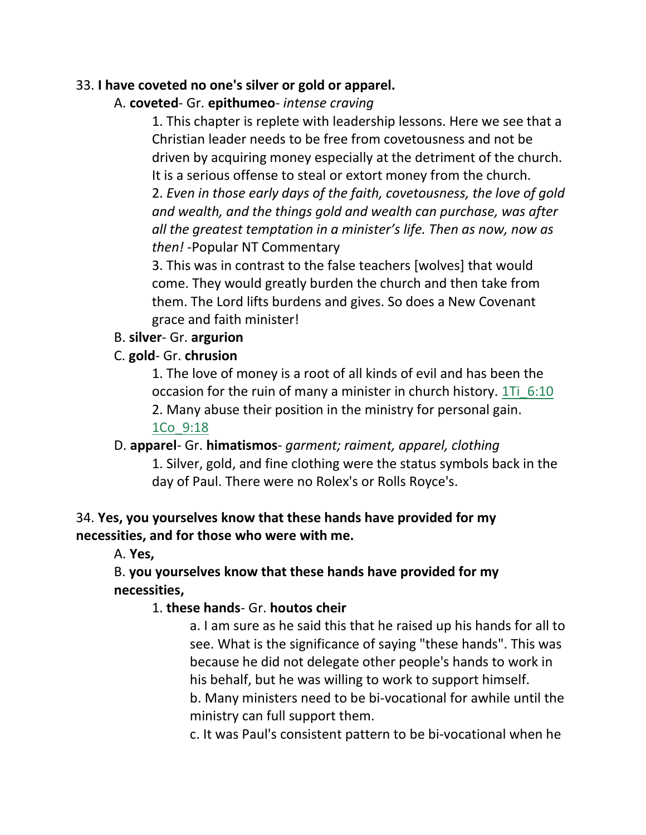#### 33. **I have coveted no one's silver or gold or apparel.**

A. **coveted**- Gr. **epithumeo**- *intense craving*

1. This chapter is replete with leadership lessons. Here we see that a Christian leader needs to be free from covetousness and not be driven by acquiring money especially at the detriment of the church. It is a serious offense to steal or extort money from the church.

2. *Even in those early days of the faith, covetousness, the love of gold and wealth, and the things gold and wealth can purchase, was after all the greatest temptation in a minister's life. Then as now, now as then!* -Popular NT Commentary

3. This was in contrast to the false teachers [wolves] that would come. They would greatly burden the church and then take from them. The Lord lifts burdens and gives. So does a New Covenant grace and faith minister!

### B. **silver**- Gr. **argurion**

### C. **gold**- Gr. **chrusion**

1. The love of money is a root of all kinds of evil and has been the occasion for the ruin of many a minister in church history. 1Ti 6:10 2. Many abuse their position in the ministry for personal gain. 1Co\_9:18

# D. **apparel**- Gr. **himatismos**- *garment; raiment, apparel, clothing* 1. Silver, gold, and fine clothing were the status symbols back in the day of Paul. There were no Rolex's or Rolls Royce's.

### 34. **Yes, you yourselves know that these hands have provided for my necessities, and for those who were with me.**

A. **Yes,**

# B. **you yourselves know that these hands have provided for my necessities,**

### 1. **these hands**- Gr. **houtos cheir**

a. I am sure as he said this that he raised up his hands for all to see. What is the significance of saying "these hands". This was because he did not delegate other people's hands to work in his behalf, but he was willing to work to support himself. b. Many ministers need to be bi-vocational for awhile until the

ministry can full support them.

c. It was Paul's consistent pattern to be bi-vocational when he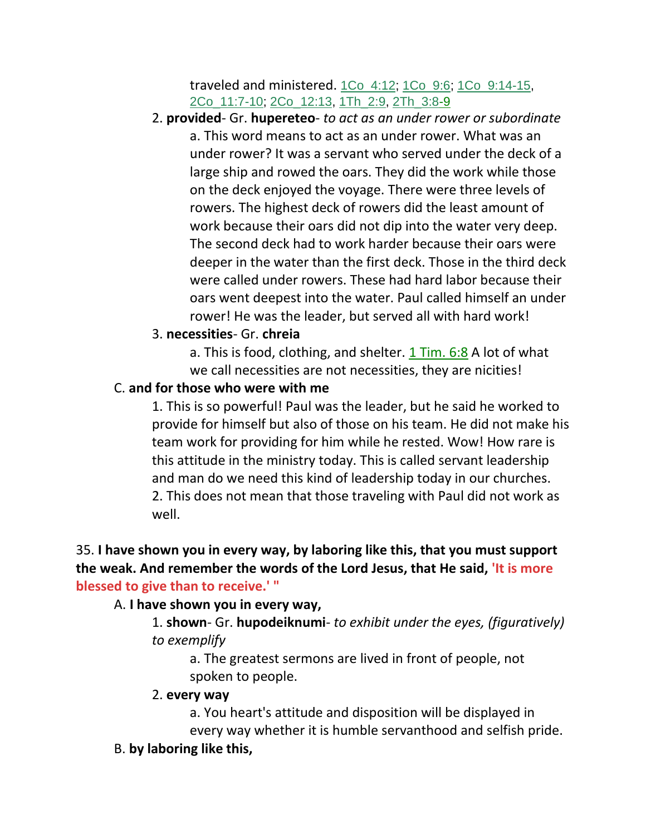traveled and ministered. 1Co\_4:12; 1Co\_9:6; 1Co\_9:14-15, 2Co\_11:7-10; 2Co\_12:13, 1Th\_2:9, 2Th\_3:8-9

2. **provided**- Gr. **hupereteo**- *to act as an under rower or subordinate* a. This word means to act as an under rower. What was an under rower? It was a servant who served under the deck of a large ship and rowed the oars. They did the work while those on the deck enjoyed the voyage. There were three levels of rowers. The highest deck of rowers did the least amount of work because their oars did not dip into the water very deep. The second deck had to work harder because their oars were deeper in the water than the first deck. Those in the third deck were called under rowers. These had hard labor because their oars went deepest into the water. Paul called himself an under rower! He was the leader, but served all with hard work!

#### 3. **necessities**- Gr. **chreia**

a. This is food, clothing, and shelter. 1 Tim. 6:8 A lot of what we call necessities are not necessities, they are nicities!

#### C. **and for those who were with me**

1. This is so powerful! Paul was the leader, but he said he worked to provide for himself but also of those on his team. He did not make his team work for providing for him while he rested. Wow! How rare is this attitude in the ministry today. This is called servant leadership and man do we need this kind of leadership today in our churches. 2. This does not mean that those traveling with Paul did not work as well.

35. **I have shown you in every way, by laboring like this, that you must support the weak. And remember the words of the Lord Jesus, that He said, 'It is more blessed to give than to receive.' "**

#### A. **I have shown you in every way,**

1. **shown**- Gr. **hupodeiknumi**- *to exhibit under the eyes, (figuratively) to exemplify*

a. The greatest sermons are lived in front of people, not spoken to people.

#### 2. **every way**

a. You heart's attitude and disposition will be displayed in every way whether it is humble servanthood and selfish pride.

#### B. **by laboring like this,**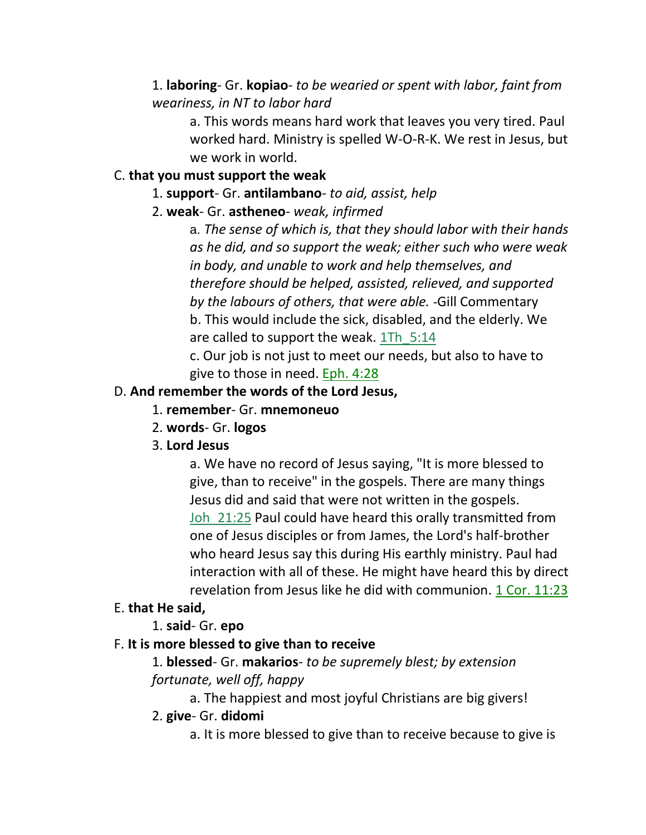## 1. **laboring**- Gr. **kopiao**- *to be wearied or spent with labor, faint from weariness, in NT to labor hard*

a. This words means hard work that leaves you very tired. Paul worked hard. Ministry is spelled W-O-R-K. We rest in Jesus, but we work in world.

# C. **that you must support the weak**

### 1. **support**- Gr. **antilambano**- *to aid, assist, help*

# 2. **weak**- Gr. **astheneo**- *weak, infirmed*

a. *The sense of which is, that they should labor with their hands as he did, and so support the weak; either such who were weak in body, and unable to work and help themselves, and therefore should be helped, assisted, relieved, and supported by the labours of others, that were able.* -Gill Commentary b. This would include the sick, disabled, and the elderly. We are called to support the weak. 1Th\_5:14 c. Our job is not just to meet our needs, but also to have to

give to those in need. Eph. 4:28

# D. **And remember the words of the Lord Jesus,**

- 1. **remember** Gr. **mnemoneuo**
- 2. **words** Gr. **logos**
- 3. **Lord Jesus**

a. We have no record of Jesus saying, "It is more blessed to give, than to receive" in the gospels. There are many things Jesus did and said that were not written in the gospels. Joh 21:25 Paul could have heard this orally transmitted from one of Jesus disciples or from James, the Lord's half-brother who heard Jesus say this during His earthly ministry. Paul had interaction with all of these. He might have heard this by direct revelation from Jesus like he did with communion. 1 Cor. 11:23

# E. **that He said,**

# 1. **said**- Gr. **epo**

# F. **It is more blessed to give than to receive**

# 1. **blessed**- Gr. **makarios**- *to be supremely blest; by extension fortunate, well off, happy*

a. The happiest and most joyful Christians are big givers!

# 2. **give**- Gr. **didomi**

a. It is more blessed to give than to receive because to give is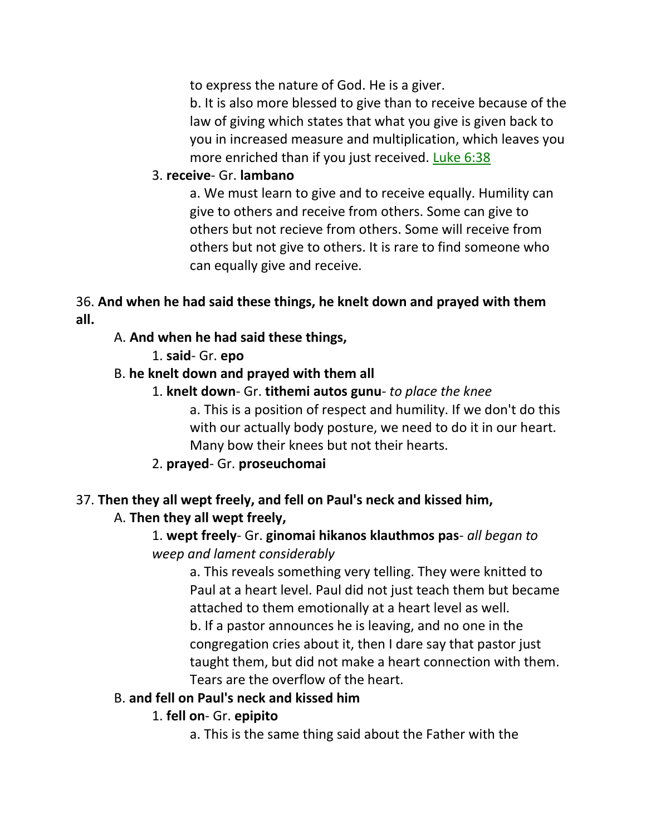to express the nature of God. He is a giver.

b. It is also more blessed to give than to receive because of the law of giving which states that what you give is given back to you in increased measure and multiplication, which leaves you more enriched than if you just received. Luke 6:38

### 3. **receive**- Gr. **lambano**

a. We must learn to give and to receive equally. Humility can give to others and receive from others. Some can give to others but not recieve from others. Some will receive from others but not give to others. It is rare to find someone who can equally give and receive.

### 36. **And when he had said these things, he knelt down and prayed with them all.**

### A. **And when he had said these things,**

1. **said**- Gr. **epo**

### B. **he knelt down and prayed with them all**

- 1. **knelt down** Gr. **tithemi autos gunu** *to place the knee* a. This is a position of respect and humility. If we don't do this with our actually body posture, we need to do it in our heart. Many bow their knees but not their hearts.
- 2. **prayed** Gr. **proseuchomai**

# 37. **Then they all wept freely, and fell on Paul's neck and kissed him,**

### A. **Then they all wept freely,**

# 1. **wept freely**- Gr. **ginomai hikanos klauthmos pas**- *all began to weep and lament considerably*

a. This reveals something very telling. They were knitted to Paul at a heart level. Paul did not just teach them but became attached to them emotionally at a heart level as well. b. If a pastor announces he is leaving, and no one in the congregation cries about it, then I dare say that pastor just taught them, but did not make a heart connection with them. Tears are the overflow of the heart.

### B. **and fell on Paul's neck and kissed him**

### 1. **fell on**- Gr. **epipito**

a. This is the same thing said about the Father with the